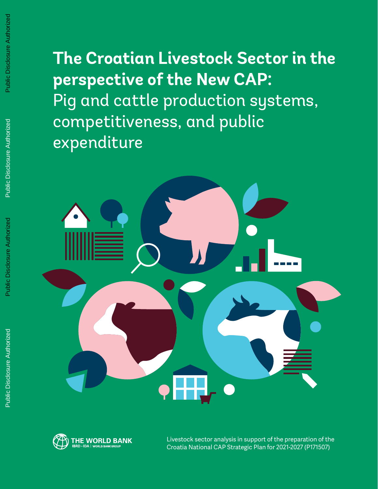**The Croatian Livestock Sector in the perspective of the New CAP:** Pig and cattle production systems, competitiveness, and public expenditure





Livestock sector analysis in support of the preparation of the Croatia National CAP Strategic Plan for 2021-2027 (P171507)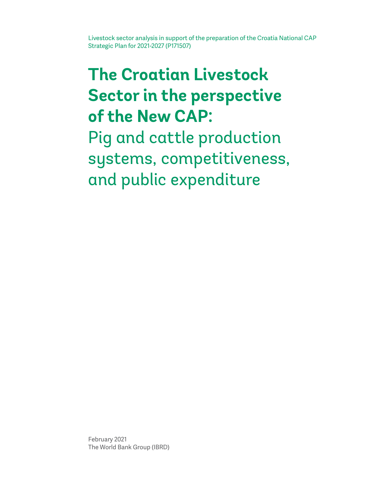Livestock sector analysis in support of the preparation of the Croatia National CAP Strategic Plan for 2021-2027 (P171507)

## **The Croatian Livestock Sector in the perspective of the New CAP:**

Pig and cattle production systems, competitiveness, and public expenditure

February 2021 The World Bank Group (IBRD)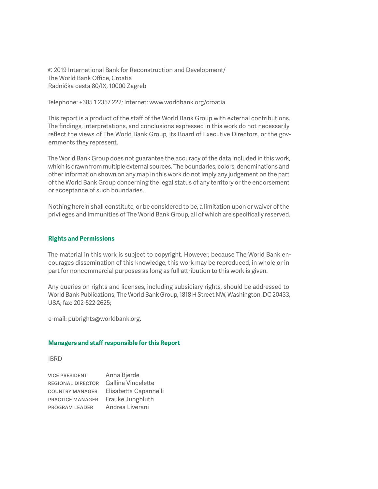© 2019 International Bank for Reconstruction and Development/ The World Bank Office, Croatia Radnička cesta 80/IX, 10000 Zagreb

Telephone: +385 1 2357 222; Internet: www.worldbank.org/croatia

This report is a product of the staff of the World Bank Group with external contributions. The findings, interpretations, and conclusions expressed in this work do not necessarily reflect the views of The World Bank Group, its Board of Executive Directors, or the governments they represent.

The World Bank Group does not guarantee the accuracy of the data included in this work, which is drawn from multiple external sources. The boundaries, colors, denominations and other information shown on any map in this work do not imply any judgement on the part of the World Bank Group concerning the legal status of any territory or the endorsement or acceptance of such boundaries.

Nothing herein shall constitute, or be considered to be, a limitation upon or waiver of the privileges and immunities of The World Bank Group, all of which are specifically reserved.

#### **Rights and Permissions**

The material in this work is subject to copyright. However, because The World Bank encourages dissemination of this knowledge, this work may be reproduced, in whole or in part for noncommercial purposes as long as full attribution to this work is given.

Any queries on rights and licenses, including subsidiary rights, should be addressed to World Bank Publications, The World Bank Group, 1818 H Street NW, Washington, DC 20433, USA; fax: 202-522-2625;

e-mail: pubrights@worldbank.org.

#### **Managers and staff responsible for this Report**

#### IBRD

| <b>VICE PRESIDENT</b>    | Anna Bjerde           |
|--------------------------|-----------------------|
| <b>REGIONAL DIRECTOR</b> | Gallina Vincelette    |
| <b>COUNTRY MANAGER</b>   | Elisabetta Capannelli |
| <b>PRACTICE MANAGER</b>  | Frauke Jungbluth      |
| <b>PROGRAM LEADER</b>    | Andrea Liverani       |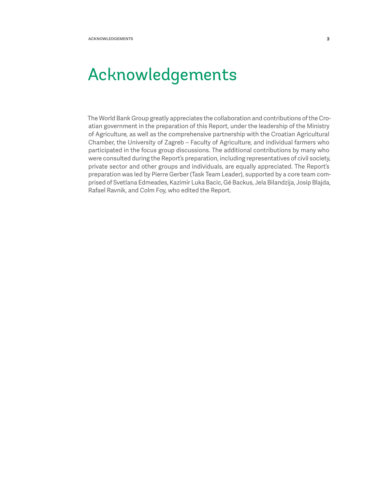<span id="page-3-0"></span>The World Bank Group greatly appreciates the collaboration and contributions of the Croatian government in the preparation of this Report, under the leadership of the Ministry of Agriculture, as well as the comprehensive partnership with the Croatian Agricultural Chamber, the University of Zagreb – Faculty of Agriculture, and individual farmers who participated in the focus group discussions. The additional contributions by many who were consulted during the Report's preparation, including representatives of civil society, private sector and other groups and individuals, are equally appreciated. The Report's preparation was led by Pierre Gerber (Task Team Leader), supported by a core team comprised of Svetlana Edmeades, Kazimir Luka Bacic, Gé Backus, Jela Bilandzija, Josip Blajda, Rafael Ravnik, and Colm Foy, who edited the Report.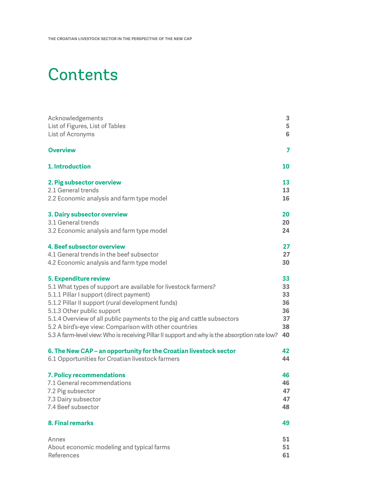## **Contents**

| Acknowledgements                                                                              | 3               |
|-----------------------------------------------------------------------------------------------|-----------------|
| List of Figures, List of Tables                                                               | 5               |
| List of Acronyms                                                                              | $6\phantom{1}6$ |
| <b>Overview</b>                                                                               | 7               |
| 1. Introduction                                                                               | 10              |
| 2. Pig subsector overview                                                                     | 13              |
| 2.1 General trends                                                                            | 13              |
| 2.2 Economic analysis and farm type model                                                     | 16              |
| 3. Dairy subsector overview                                                                   | 20              |
| 3.1 General trends                                                                            | 20              |
| 3.2 Economic analysis and farm type model                                                     | 24              |
| 4. Beef subsector overview                                                                    | 27              |
| 4.1 General trends in the beef subsector                                                      | 27              |
| 4.2 Economic analysis and farm type model                                                     | 30              |
| 5. Expenditure review                                                                         | 33              |
| 5.1 What types of support are available for livestock farmers?                                | 33              |
| 5.1.1 Pillar I support (direct payment)                                                       | 33              |
| 5.1.2 Pillar II support (rural development funds)                                             | 36              |
| 5.1.3 Other public support                                                                    | 36              |
| 5.1.4 Overview of all public payments to the pig and cattle subsectors                        | 37              |
| 5.2 A bird's-eye view: Comparison with other countries                                        | 38<br>40        |
| 5.3 A farm-level view: Who is receiving Pillar II support and why is the absorption rate low? |                 |
| 6. The New CAP – an opportunity for the Croatian livestock sector                             | 42              |
| 6.1 Opportunities for Croatian livestock farmers                                              | 44              |
| 7. Policy recommendations                                                                     | 46              |
| 7.1 General recommendations                                                                   | 46              |
| 7.2 Pig subsector                                                                             | 47              |
| 7.3 Dairy subsector                                                                           | 47              |
| 7.4 Beef subsector                                                                            | 48              |
| <b>8. Final remarks</b>                                                                       | 49              |
| Annex                                                                                         | 51              |
| About economic modeling and typical farms                                                     | 51              |
| References                                                                                    | 61              |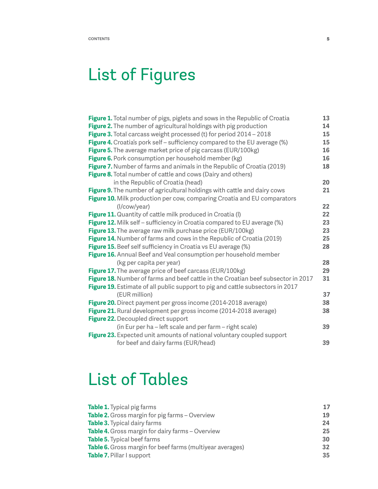## List of Figures

| Figure 1. Total number of pigs, piglets and sows in the Republic of Croatia       | 13 |
|-----------------------------------------------------------------------------------|----|
| Figure 2. The number of agricultural holdings with pig production                 | 14 |
| Figure 3. Total carcass weight processed (t) for period 2014 - 2018               | 15 |
| <b>Figure 4.</b> Croatia's pork self – sufficiency compared to the EU average (%) | 15 |
| Figure 5. The average market price of pig carcass (EUR/100kg)                     | 16 |
| Figure 6. Pork consumption per household member (kg)                              | 16 |
| Figure 7. Number of farms and animals in the Republic of Croatia (2019)           | 18 |
| Figure 8. Total number of cattle and cows (Dairy and others)                      |    |
| in the Republic of Croatia (head)                                                 | 20 |
| Figure 9. The number of agricultural holdings with cattle and dairy cows          | 21 |
| Figure 10. Milk production per cow, comparing Croatia and EU comparators          |    |
| (I/cow/year)                                                                      | 22 |
| <b>Figure 11.</b> Quantity of cattle milk produced in Croatia (I)                 | 22 |
| Figure 12. Milk self - sufficiency in Croatia compared to EU average (%)          | 23 |
| Figure 13. The average raw milk purchase price (EUR/100kg)                        | 23 |
| Figure 14. Number of farms and cows in the Republic of Croatia (2019)             | 25 |
| Figure 15. Beef self sufficiency in Croatia vs EU average (%)                     | 28 |
| Figure 16. Annual Beef and Veal consumption per household member                  |    |
| (kg per capita per year)                                                          | 28 |
| <b>Figure 17.</b> The average price of beef carcass (EUR/100kg)                   | 29 |
| Figure 18. Number of farms and beef cattle in the Croatian beef subsector in 2017 | 31 |
| Figure 19. Estimate of all public support to pig and cattle subsectors in 2017    |    |
| (EUR million)                                                                     | 37 |
| Figure 20. Direct payment per gross income (2014-2018 average)                    | 38 |
| Figure 21. Rural development per gross income (2014-2018 average)                 | 38 |
| Figure 22. Decoupled direct support                                               |    |
| (in Eur per ha - left scale and per farm - right scale)                           | 39 |
| Figure 23. Expected unit amounts of national voluntary coupled support            |    |
| for beef and dairy farms (EUR/head)                                               | 39 |

## List of Tables

| <b>Table 1.</b> Typical pig farms                         | 17 |
|-----------------------------------------------------------|----|
| Table 2. Gross margin for pig farms - Overview            | 19 |
| <b>Table 3.</b> Typical dairy farms                       | 24 |
| <b>Table 4.</b> Gross margin for dairy farms – Overview   | 25 |
| Table 5. Typical beef farms                               | 30 |
| Table 6. Gross margin for beef farms (multiyear averages) | 32 |
| Table 7. Pillar I support                                 | 35 |
|                                                           |    |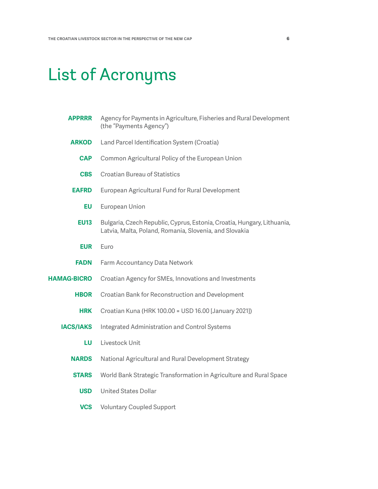## <span id="page-6-0"></span>List of Acronyms

| <b>APPRRR</b>      | Agency for Payments in Agriculture, Fisheries and Rural Development<br>(the "Payments Agency")                                    |  |
|--------------------|-----------------------------------------------------------------------------------------------------------------------------------|--|
| <b>ARKOD</b>       | Land Parcel Identification System (Croatia)                                                                                       |  |
| <b>CAP</b>         | Common Agricultural Policy of the European Union                                                                                  |  |
| <b>CBS</b>         | <b>Croatian Bureau of Statistics</b>                                                                                              |  |
| <b>EAFRD</b>       | European Agricultural Fund for Rural Development                                                                                  |  |
| EU                 | European Union                                                                                                                    |  |
| <b>EU13</b>        | Bulgaria, Czech Republic, Cyprus, Estonia, Croatia, Hungary, Lithuania,<br>Latvia, Malta, Poland, Romania, Slovenia, and Slovakia |  |
| <b>EUR</b>         | Euro                                                                                                                              |  |
| <b>FADN</b>        | Farm Accountancy Data Network                                                                                                     |  |
| <b>HAMAG-BICRO</b> | Croatian Agency for SMEs, Innovations and Investments                                                                             |  |
| <b>HBOR</b>        | Croatian Bank for Reconstruction and Development                                                                                  |  |
| <b>HRK</b>         | Croatian Kuna (HRK 100.00 = USD 16.00 [January 2021])                                                                             |  |
| <b>IACS/IAKS</b>   | <b>Integrated Administration and Control Systems</b>                                                                              |  |
| LU                 | Livestock Unit                                                                                                                    |  |
| <b>NARDS</b>       | National Agricultural and Rural Development Strategy                                                                              |  |
| <b>STARS</b>       | World Bank Strategic Transformation in Agriculture and Rural Space                                                                |  |
| <b>USD</b>         | <b>United States Dollar</b>                                                                                                       |  |
| <b>VCS</b>         | <b>Voluntary Coupled Support</b>                                                                                                  |  |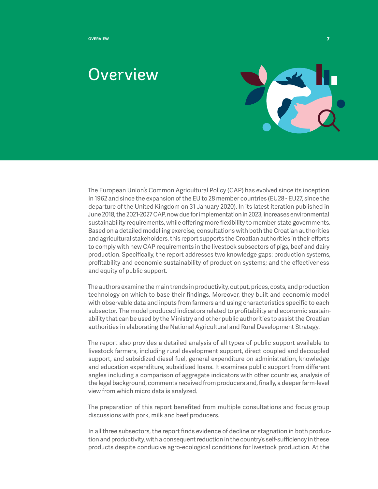<span id="page-7-0"></span>**Overview 7**

## Overview



The European Union's Common Agricultural Policy (CAP) has evolved since its inception in 1962 and since the expansion of the EU to 28 member countries (EU28 - EU27, since the departure of the United Kingdom on 31 January 2020). In its latest iteration published in June 2018, the 2021-2027 CAP, now due for implementation in 2023, increases environmental sustainability requirements, while offering more flexibility to member state governments. Based on a detailed modelling exercise, consultations with both the Croatian authorities and agricultural stakeholders, this report supports the Croatian authorities in their efforts to comply with new CAP requirements in the livestock subsectors of pigs, beef and dairy production. Specifically, the report addresses two knowledge gaps: production systems, profitability and economic sustainability of production systems; and the effectiveness and equity of public support.

The authors examine the main trends in productivity, output, prices, costs, and production technology on which to base their findings. Moreover, they built and economic model with observable data and inputs from farmers and using characteristics specific to each subsector. The model produced indicators related to profitability and economic sustainability that can be used by the Ministry and other public authorities to assist the Croatian authorities in elaborating the National Agricultural and Rural Development Strategy.

The report also provides a detailed analysis of all types of public support available to livestock farmers, including rural development support, direct coupled and decoupled support, and subsidized diesel fuel, general expenditure on administration, knowledge and education expenditure, subsidized loans. It examines public support from different angles including a comparison of aggregate indicators with other countries, analysis of the legal background, comments received from producers and, finally, a deeper farm-level view from which micro data is analyzed.

The preparation of this report benefited from multiple consultations and focus group discussions with pork, milk and beef producers.

In all three subsectors, the report finds evidence of decline or stagnation in both production and productivity, with a consequent reduction in the country's self-sufficiency in these products despite conducive agro-ecological conditions for livestock production. At the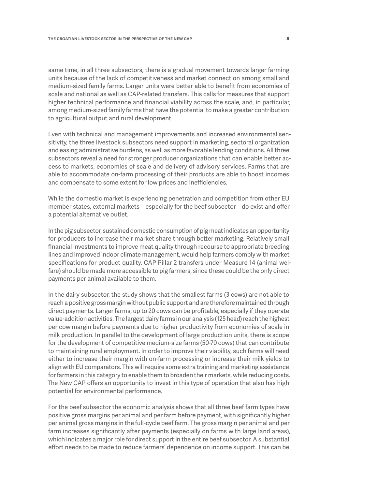same time, in all three subsectors, there is a gradual movement towards larger farming units because of the lack of competitiveness and market connection among small and medium-sized family farms. Larger units were better able to benefit from economies of scale and national as well as CAP-related transfers. This calls for measures that support higher technical performance and financial viability across the scale, and, in particular, among medium-sized family farms that have the potential to make a greater contribution to agricultural output and rural development.

Even with technical and management improvements and increased environmental sensitivity, the three livestock subsectors need support in marketing, sectoral organization and easing administrative burdens, as well as more favorable lending conditions. All three subsectors reveal a need for stronger producer organizations that can enable better access to markets, economies of scale and delivery of advisory services. Farms that are able to accommodate on-farm processing of their products are able to boost incomes and compensate to some extent for low prices and inefficiencies.

While the domestic market is experiencing penetration and competition from other EU member states, external markets – especially for the beef subsector – do exist and offer a potential alternative outlet.

In the pig subsector, sustained domestic consumption of pig meat indicates an opportunity for producers to increase their market share through better marketing. Relatively small financial investments to improve meat quality through recourse to appropriate breeding lines and improved indoor climate management, would help farmers comply with market specifications for product quality. CAP Pillar 2 transfers under Measure 14 (animal welfare) should be made more accessible to pig farmers, since these could be the only direct payments per animal available to them.

In the dairy subsector, the study shows that the smallest farms (3 cows) are not able to reach a positive gross margin without public support and are therefore maintained through direct payments. Larger farms, up to 20 cows can be profitable, especially if they operate value-addition activities. The largest dairy farms in our analysis (125 head) reach the highest per cow margin before payments due to higher productivity from economies of scale in milk production. In parallel to the development of large production units, there is scope for the development of competitive medium-size farms (50-70 cows) that can contribute to maintaining rural employment. In order to improve their viability, such farms will need either to increase their margin with on-farm processing or increase their milk yields to align with EU comparators. This will require some extra training and marketing assistance for farmers in this category to enable them to broaden their markets, while reducing costs. The New CAP offers an opportunity to invest in this type of operation that also has high potential for environmental performance.

For the beef subsector the economic analysis shows that all three beef farm types have positive gross margins per animal and per farm before payment, with significantly higher per animal gross margins in the full-cycle beef farm. The gross margin per animal and per farm increases significantly after payments (especially on farms with large land areas), which indicates a major role for direct support in the entire beef subsector. A substantial effort needs to be made to reduce farmers' dependence on income support. This can be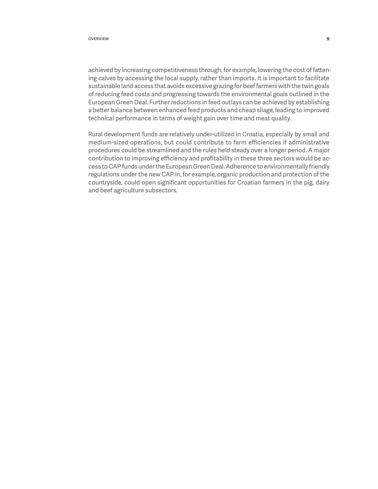achieved by increasing competitiveness through, for example, lowering the cost of fattening calves by accessing the local supply, rather than imports. It is important to facilitate sustainable land access that avoids excessive grazing for beef farmers with the twin goals of reducing feed costs and progressing towards the environmental goals outlined in the European Green Deal. Further reductions in feed outlays can be achieved by establishing a better balance between enhanced feed products and cheap silage, leading to improved technical performance in terms of weight gain over time and meat quality.

Rural development funds are relatively under-utilized in Croatia, especially by small and medium-sized operations, but could contribute to farm efficiencies if administrative procedures could be streamlined and the rules held steady over a longer period. A major contribution to improving efficiency and profitability in these three sectors would be access to CAP funds under the European Green Deal. Adherence to environmentally friendly regulations under the new CAP in, for example, organic production and protection of the countryside, could open significant opportunities for Croatian farmers in the pig, dairy and beef agriculture subsectors.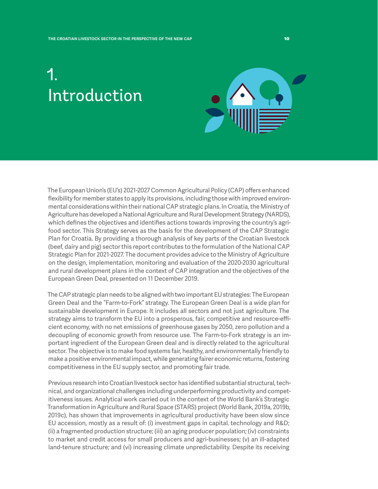## <span id="page-10-0"></span>1. Introduction



The European Union's (EU's) 2021-2027 Common Agricultural Policy (CAP) offers enhanced flexibility for member states to apply its provisions, including those with improved environmental considerations within their national CAP strategic plans.In Croatia, the Ministry of Agriculture has developed a National Agriculture and Rural Development Strategy (NARDS), which defines the objectives and identifies actions towards improving the country's agrifood sector. This Strategy serves as the basis for the development of the CAP Strategic Plan for Croatia. By providing a thorough analysis of key parts of the Croatian livestock (beef, dairy and pig) sector this report contributes to the formulation of the National CAP Strategic Plan for 2021-2027. The document provides advice to the Ministry of Agriculture on the design, implementation, monitoring and evaluation of the 2020-2030 agricultural and rural development plans in the context of CAP integration and the objectives of the European Green Deal, presented on 11 December 2019.

The CAP strategic plan needs to be aligned with two important EU strategies: The European Green Deal and the "Farm-to-Fork" strategy. The European Green Deal is a wide plan for sustainable development in Europe. It includes all sectors and not just agriculture. The strategy aims to transform the EU into a prosperous, fair, competitive and resource-efficient economy, with no net emissions of greenhouse gases by 2050, zero pollution and a decoupling of economic growth from resource use. The Farm-to-Fork strategy is an important ingredient of the European Green deal and is directly related to the agricultural sector. The objective is to make food systems fair, healthy, and environmentally friendly to make a positive environmental impact, while generating fairer economic returns, fostering competitiveness in the EU supply sector, and promoting fair trade.

Previous research into Croatian livestock sector has identified substantial structural, technical, and organizational challenges including underperforming productivity and competitiveness issues. Analytical work carried out in the context of the World Bank's Strategic Transformation in Agriculture and Rural Space (STARS) project (World Bank, 2019a, 2019b, 2019c), has shown that improvements in agricultural productivity have been slow since EU accession, mostly as a result of: (i) investment gaps in capital, technology and R&D; (ii) a fragmented production structure; (iii) an aging producer population; (iv) constraints to market and credit access for small producers and agri-businesses; (v) an ill-adapted land-tenure structure; and (vi) increasing climate unpredictability. Despite its receiving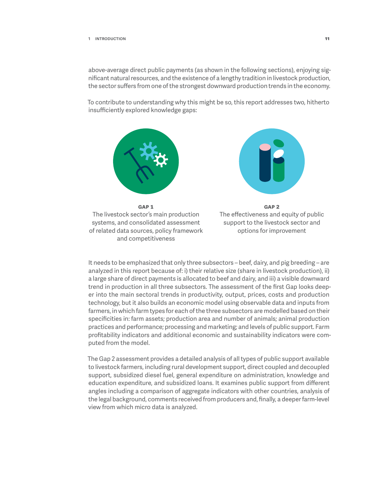#### **1 Introduction 11**

above-average direct public payments (as shown in the following sections), enjoying significant natural resources, and the existence of a lengthy tradition in livestock production, the sector suffers from one of the strongest downward production trends in the economy.

To contribute to understanding why this might be so, this report addresses two, hitherto insufficiently explored knowledge gaps:



It needs to be emphasized that only three subsectors – beef, dairy, and pig breeding – are analyzed in this report because of: i) their relative size (share in livestock production), ii) a large share of direct payments is allocated to beef and dairy, and iii) a visible downward trend in production in all three subsectors. The assessment of the first Gap looks deeper into the main sectoral trends in productivity, output, prices, costs and production technology, but it also builds an economic model using observable data and inputs from farmers, in which farm types for each of the three subsectors are modelled based on their specificities in: farm assets; production area and number of animals; animal production practices and performance; processing and marketing; and levels of public support. Farm profitability indicators and additional economic and sustainability indicators were computed from the model.

The Gap 2 assessment provides a detailed analysis of all types of public support available to livestock farmers, including rural development support, direct coupled and decoupled support, subsidized diesel fuel, general expenditure on administration, knowledge and education expenditure, and subsidized loans. It examines public support from different angles including a comparison of aggregate indicators with other countries, analysis of the legal background, comments received from producers and, finally, a deeper farm-level view from which micro data is analyzed.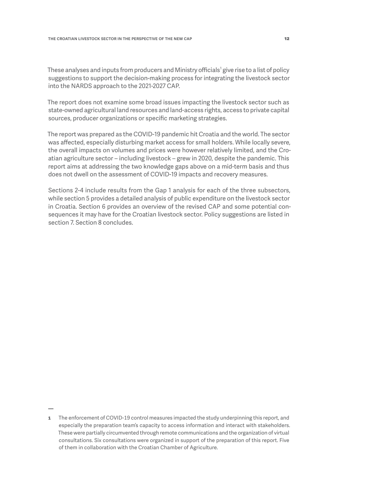These analyses and inputs from producers and Ministry officials $^{\rm 1}$  give rise to a list of policy suggestions to support the decision-making process for integrating the livestock sector into the NARDS approach to the 2021-2027 CAP.

The report does not examine some broad issues impacting the livestock sector such as state-owned agricultural land resources and land-access rights, access to private capital sources, producer organizations or specific marketing strategies.

The report was prepared as the COVID-19 pandemic hit Croatia and the world. The sector was affected, especially disturbing market access for small holders. While locally severe, the overall impacts on volumes and prices were however relatively limited, and the Croatian agriculture sector – including livestock – grew in 2020, despite the pandemic. This report aims at addressing the two knowledge gaps above on a mid-term basis and thus does not dwell on the assessment of COVID-19 impacts and recovery measures.

Sections 2-4 include results from the Gap 1 analysis for each of the three subsectors, while section 5 provides a detailed analysis of public expenditure on the livestock sector in Croatia. Section 6 provides an overview of the revised CAP and some potential consequences it may have for the Croatian livestock sector. Policy suggestions are listed in section 7. Section 8 concludes.

**<sup>1</sup>** The enforcement of COVID-19 control measures impacted the study underpinning this report, and especially the preparation team's capacity to access information and interact with stakeholders. These were partially circumvented through remote communications and the organization of virtual consultations. Six consultations were organized in support of the preparation of this report. Five of them in collaboration with the Croatian Chamber of Agriculture.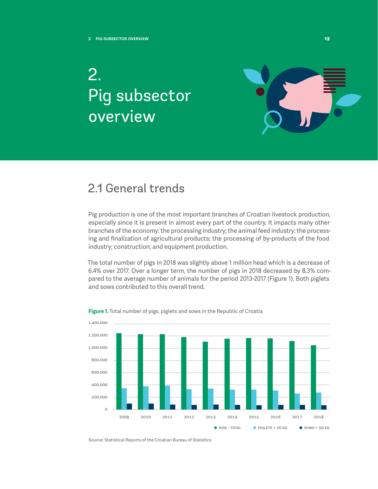## <span id="page-13-0"></span>2. Pig subsector overview



### 2.1 General trends

Pig production is one of the most important branches of Croatian livestock production, especially since it is present in almost every part of the country. It impacts many other branches of the economy: the processing industry; the animal feed industry; the processing and finalization of agricultural products; the processing of by-products of the food industry; construction; and equipment production.

The total number of pigs in 2018 was slightly above 1 million head which is a decrease of 6.4% over 2017. Over a longer term, the number of pigs in 2018 decreased by 8.3% compared to the average number of animals for the period 2013-2017 (Figure 1). Both piglets and sows contributed to this overall trend.



**Figure 1.** Total number of pigs, piglets and sows in the Republic of Croatia

Source: Statistical Reports of the Croatian Bureau of Statistics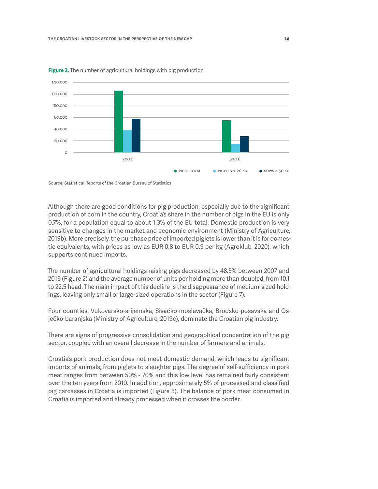

<span id="page-14-0"></span>**Figure 2.** The number of agricultural holdings with pig production

Source: Statistical Reports of the Croatian Bureau of Statistics

Although there are good conditions for pig production, especially due to the significant production of corn in the country, Croatia's share in the number of pigs in the EU is only 0.7%, for a population equal to about 1.3% of the EU total. Domestic production is very sensitive to changes in the market and economic environment (Ministry of Agriculture, 2019b). More precisely, the purchase price of imported piglets is lower than it is for domestic equivalents, with prices as low as EUR 0.8 to EUR 0.9 per kg (Agroklub, 2020), which supports continued imports.

The number of agricultural holdings raising pigs decreased by 48.3% between 2007 and 2016 (Figure 2) and the average number of units per holding more than doubled, from 10.1 to 22.5 head. The main impact of this decline is the disappearance of medium-sized holdings, leaving only small or large-sized operations in the sector (Figure 7).

Four counties, Vukovarsko-srijemska, Sisačko-moslavačka, Brodsko-posavska and Osječko-baranjska (Ministry of Agriculture, 2019c), dominate the Croatian pig industry.

There are signs of progressive consolidation and geographical concentration of the pig sector, coupled with an overall decrease in the number of farmers and animals.

Croatia's pork production does not meet domestic demand, which leads to significant imports of animals, from piglets to slaughter pigs. The degree of self-sufficiency in pork meat ranges from between 50% - 70% and this low level has remained fairly consistent over the ten years from 2010. In addition, approximately 5% of processed and classified pig carcasses in Croatia is imported (Figure 3). The balance of pork meat consumed in Croatia is imported and already processed when it crosses the border.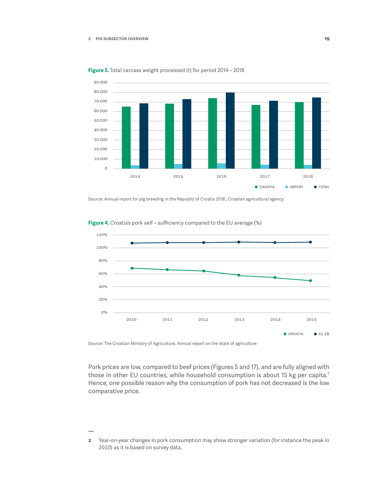



Source: Annual report for pig breeding in the Republic of Croatia 2018., Croatian agricultural agency



**Figure 4.** Croatia's pork self – sufficiency compared to the EU average (%)

Source: The Croatian Ministry of Agriculture, Annual report on the state of agriculture

Pork prices are low, compared to beef prices (Figures 5 and 17), and are fully aligned with those in other EU countries, while household consumption is about 15 kg per capita.<sup>2</sup> Hence, one possible reason why the consumption of pork has not decreased is the low comparative price.

**<sup>2</sup>** Year-on-year changes in pork consumption may show stronger variation (for instance the peak in 2010) as it is based on survey data.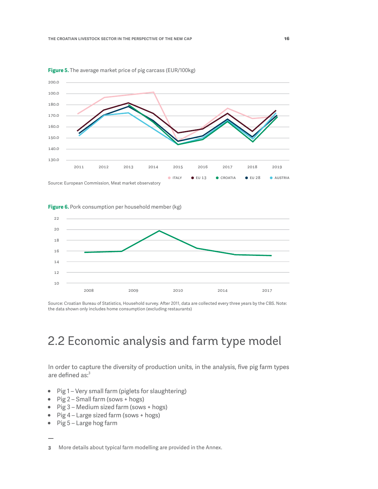

<span id="page-16-0"></span>**Figure 5.** The average market price of pig carcass (EUR/100kg)

**Figure 6.** Pork consumption per household member (kg)



Source: Croatian Bureau of Statistics, Household survey. After 2011, data are collected every three years by the CBS. Note: the data shown only includes home consumption (excluding restaurants)

### 2.2 Economic analysis and farm type model

In order to capture the diversity of production units, in the analysis, five pig farm types are defined as:<sup>3</sup>

- Pig 1 Very small farm (piglets for slaughtering)
- Pig 2 Small farm (sows + hogs)
- Pig 3 Medium sized farm (sows + hogs)
- Pig 4 Large sized farm (sows + hogs)
- Pig 5 Large hog farm

**3** More details about typical farm modelling are provided in the Annex.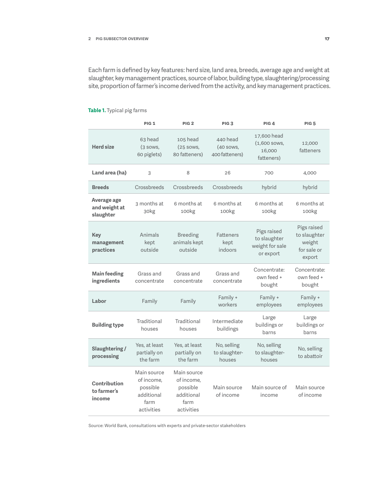<span id="page-17-0"></span>Each farm is defined by key features: herd size, land area, breeds, average age and weight at slaughter, key management practices, source of labor, building type, slaughtering/processing site, proportion of farmer's income derived from the activity, and key management practices.

|                                           | <b>PIG 1</b>                                                              | PIG <sub>2</sub>                                                          | PIG <sub>3</sub>                        | PIG <sub>4</sub>                                            | <b>PIG 5</b>                                                   |
|-------------------------------------------|---------------------------------------------------------------------------|---------------------------------------------------------------------------|-----------------------------------------|-------------------------------------------------------------|----------------------------------------------------------------|
| <b>Herd size</b>                          | 63 head<br>$(3$ sows,<br>60 piglets)                                      | 105 head<br>$(25$ sows,<br>80 fatteners)                                  | 440 head<br>(40 sows,<br>400 fatteners) | 17,600 head<br>(1,600 sows,<br>16,000<br>fatteners)         | 12,000<br>fatteners                                            |
| Land area (ha)                            | 3                                                                         | 8                                                                         | 26                                      | 700                                                         | 4,000                                                          |
| <b>Breeds</b>                             | Crossbreeds                                                               | Crossbreeds                                                               | Crossbreeds                             | hybrid                                                      | hybrid                                                         |
| Average age<br>and weight at<br>slaughter | 3 months at<br>30kg                                                       | 6 months at<br>100kg                                                      | 6 months at<br>100kg                    | 6 months at<br>100kg                                        | 6 months at<br>100kg                                           |
| Key<br>management<br>practices            | Animals<br>kept<br>outside                                                | <b>Breeding</b><br>animals kept<br>outside                                | Fatteners<br>kept<br>indoors            | Pigs raised<br>to slaughter<br>weight for sale<br>or export | Pigs raised<br>to slaughter<br>weight<br>for sale or<br>export |
| Main feeding<br>ingredients               | Grass and<br>concentrate                                                  | Grass and<br>concentrate                                                  | Grass and<br>concentrate                | Concentrate:<br>own feed +<br>bought                        | Concentrate:<br>own feed +<br>bought                           |
| Labor                                     | Family                                                                    | Family                                                                    | Family +<br>workers                     | Family +<br>employees                                       | Family +<br>employees                                          |
| <b>Building type</b>                      | Traditional<br>houses                                                     | Traditional<br>houses                                                     | Intermediate<br>buildings               | Large<br>buildings or<br>barns                              | Large<br>buildings or<br>barns                                 |
| Slaughtering /<br>processing              | Yes, at least<br>partially on<br>the farm                                 | Yes, at least<br>partially on<br>the farm                                 | No, selling<br>to slaughter-<br>houses  | No, selling<br>to slaughter-<br>houses                      | No, selling<br>to abattoir                                     |
| Contribution<br>to farmer's<br>income     | Main source<br>of income,<br>possible<br>additional<br>farm<br>activities | Main source<br>of income,<br>possible<br>additional<br>farm<br>activities | Main source<br>of income                | Main source of<br>income                                    | Main source<br>of income                                       |

#### **Table 1.** Typical pig farms

Source: World Bank, consultations with experts and private-sector stakeholders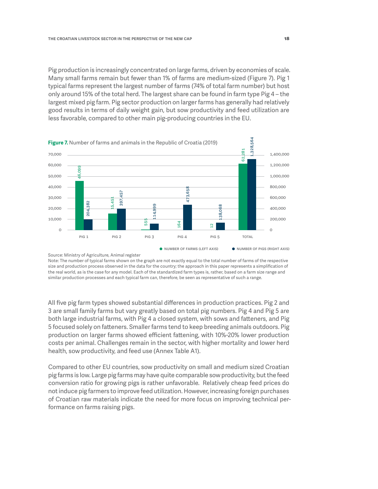<span id="page-18-0"></span>Pig production is increasingly concentrated on large farms, driven by economies of scale. Many small farms remain but fewer than 1% of farms are medium-sized (Figure 7). Pig 1 typical farms represent the largest number of farms (74% of total farm number) but host only around 15% of the total herd. The largest share can be found in farm type Pig 4 – the largest mixed pig farm. Pig sector production on larger farms has generally had relatively good results in terms of daily weight gain, but sow productivity and feed utilization are less favorable, compared to other main pig-producing countries in the EU.



Source: Ministry of Agriculture, Animal register

Note: The number of typical farms shown on the graph are not exactly equal to the total number of farms of the respective size and production process observed in the data for the country; the approach in this paper represents a simplification of the real world, as is the case for any model. Each of the standardized farm types is, rather, based on a farm size range and similar production processes and each typical farm can, therefore, be seen as representative of such a range.

All five pig farm types showed substantial differences in production practices. Pig 2 and 3 are small family farms but vary greatly based on total pig numbers. Pig 4 and Pig 5 are both large industrial farms, with Pig 4 a closed system, with sows and fatteners, and Pig 5 focused solely on fatteners. Smaller farms tend to keep breeding animals outdoors. Pig production on larger farms showed efficient fattening, with 10%-20% lower production costs per animal. Challenges remain in the sector, with higher mortality and lower herd health, sow productivity, and feed use (Annex Table A1).

Compared to other EU countries, sow productivity on small and medium sized Croatian pig farms is low. Large pig farms may have quite comparable sow productivity, but the feed conversion ratio for growing pigs is rather unfavorable. Relatively cheap feed prices do not induce pig farmers to improve feed utilization. However, increasing foreign purchases of Croatian raw materials indicate the need for more focus on improving technical per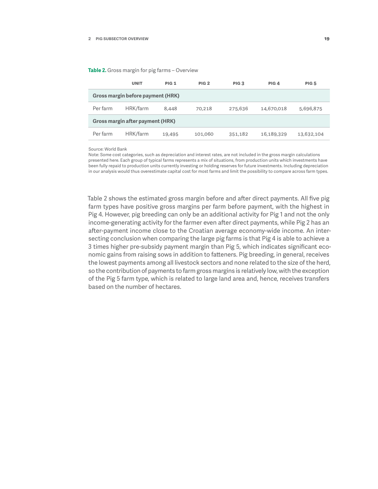<span id="page-19-0"></span>**Table 2.** Gross margin for pig farms – Overview

|                                   | <b>UNIT</b> | <b>PIG 1</b> | PIG <sub>2</sub> | PIG <sub>3</sub> | PIG <sub>4</sub> | <b>PIG 5</b> |
|-----------------------------------|-------------|--------------|------------------|------------------|------------------|--------------|
| Gross margin before payment (HRK) |             |              |                  |                  |                  |              |
| Per farm                          | HRK/farm    | 8,448        | 70,218           | 275,636          | 14,670,018       | 5,696,875    |
| Gross margin after payment (HRK)  |             |              |                  |                  |                  |              |
| Per farm                          | HRK/farm    | 19,495       | 101.060          | 351,182          | 16,189,329       | 13,632,104   |

Source: World Bank

Note: Some cost categories, such as depreciation and interest rates, are not included in the gross margin calculations presented here. Each group of typical farms represents a mix of situations, from production units which investments have been fully repaid to production units currently investing or holding reserves for future investments. Including depreciation in our analysis would thus overestimate capital cost for most farms and limit the possibility to compare across farm types.

Table 2 shows the estimated gross margin before and after direct payments. All five pig farm types have positive gross margins per farm before payment, with the highest in Pig 4. However, pig breeding can only be an additional activity for Pig 1 and not the only income-generating activity forthe farmer even after direct payments, while Pig 2 has an after-payment income close to the Croatian average economy-wide income. An intersecting conclusion when comparing the large pig farms is that Pig 4 is able to achieve a 3 times higher pre-subsidy payment margin than Pig 5, which indicates significant economic gains from raising sows in addition to fatteners. Pig breeding, in general, receives the lowest payments among all livestock sectors and none related to the size of the herd, so the contribution of payments to farm gross margins is relatively low, with the exception of the Pig 5 farm type, which is related to large land area and, hence, receives transfers based on the number of hectares.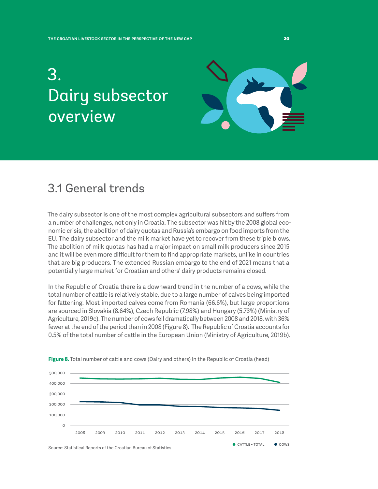## <span id="page-20-0"></span>3. Dairy subsector overview



### 3.1 General trends

The dairy subsector is one of the most complex agricultural subsectors and suffers from a number of challenges, not only in Croatia. The subsector was hit by the 2008 global economic crisis, the abolition of dairy quotas and Russia's embargo on food imports from the EU. The dairy subsector and the milk market have yet to recover from these triple blows. The abolition of milk quotas has had a major impact on small milk producers since 2015 and it will be even more difficult for them to find appropriate markets, unlike in countries that are big producers. The extended Russian embargo to the end of 2021 means that a potentially large market for Croatian and others' dairy products remains closed.

In the Republic of Croatia there is a downward trend in the number of a cows, while the total number of cattle is relatively stable, due to a large number of calves being imported for fattening. Most imported calves come from Romania (66.6%), but large proportions are sourced in Slovakia (8.64%), Czech Republic (7.98%) and Hungary (5.73%) (Ministry of Agriculture, 2019c). The number of cows fell dramatically between 2008 and 2018, with 36% fewer at the end of the period than in 2008 (Figure 8). The Republic of Croatia accounts for 0.5% of the total number of cattle in the European Union (Ministry of Agriculture, 2019b).



**Figure 8.** Total number of cattle and cows (Dairy and others) in the Republic of Croatia (head)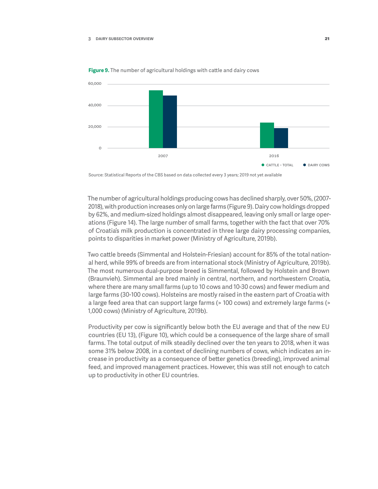

<span id="page-21-0"></span>**Figure 9.** The number of agricultural holdings with cattle and dairy cows

Source: Statistical Reports of the CBS based on data collected every 3 years; 2019 not yet available

The number of agricultural holdings producing cows has declined sharply, over 50%, (2007- 2018), with production increases only on large farms (Figure 9). Dairy cow holdings dropped by 62%, and medium-sized holdings almost disappeared, leaving only small or large operations (Figure 14). The large number of small farms, together with the fact that over 70% of Croatia's milk production is concentrated in three large dairy processing companies, points to disparities in market power (Ministry of Agriculture, 2019b).

Two cattle breeds (Simmental and Holstein-Friesian) account for 85% of the total national herd, while 99% of breeds are from international stock (Ministry of Agriculture, 2019b). The most numerous dual-purpose breed is Simmental, followed by Holstein and Brown (Braunvieh). Simmental are bred mainly in central, northern, and northwestern Croatia, where there are many small farms (up to 10 cows and 10-30 cows) and fewer medium and large farms (30-100 cows). Holsteins are mostly raised in the eastern part of Croatia with a large feed area that can support large farms (> 100 cows) and extremely large farms (> 1,000 cows) (Ministry of Agriculture, 2019b).

Productivity per cow is significantly below both the EU average and that of the new EU countries (EU 13), (Figure 10), which could be a consequence of the large share of small farms. The total output of milk steadily declined over the ten years to 2018, when it was some 31% below 2008, in a context of declining numbers of cows, which indicates an increase in productivity as a consequence of better genetics (breeding), improved animal feed, and improved management practices. However, this was still not enough to catch up to productivity in other EU countries.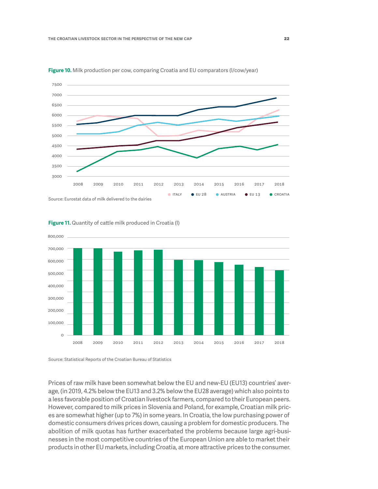

<span id="page-22-0"></span>**Figure 10.** Milk production per cow, comparing Croatia and EU comparators (l/cow/year)



#### **Figure 11.** Quantity of cattle milk produced in Croatia (l)

Source: Statistical Reports of the Croatian Bureau of Statistics

Prices of raw milk have been somewhat below the EU and new-EU (EU13) countries' average, (in 2019, 4.2% below the EU13 and 3.2% below the EU28 average) which also points to a less favorable position of Croatian livestock farmers, compared to their European peers. However, compared to milk prices in Slovenia and Poland, for example, Croatian milk prices are somewhat higher (up to 7%) in some years. In Croatia, the low purchasing power of domestic consumers drives prices down, causing a problem for domestic producers. The abolition of milk quotas has further exacerbated the problems because large agri-businesses in the most competitive countries of the European Union are able to market their products in other EU markets, including Croatia, at more attractive prices to the consumer.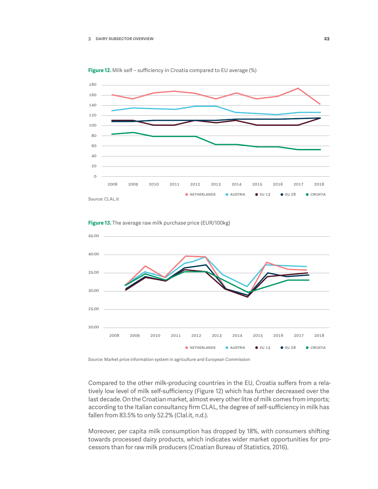<span id="page-23-0"></span>





**Figure 13.** The average raw milk purchase price (EUR/100kg)

Source: Market price information system in agriculture and European Commission

Compared to the other milk-producing countries in the EU, Croatia suffers from a relatively low level of milk self-sufficiency (Figure 12) which has further decreased over the last decade. On the Croatian market, almost every other litre of milk comes from imports; according to the Italian consultancy firm CLAL, the degree of self-sufficiency in milk has fallen from 83.5% to only 52.2% (Clal.it, n.d.).

Moreover, per capita milk consumption has dropped by 18%, with consumers shifting towards processed dairy products, which indicates wider market opportunities for processors than for raw milk producers (Croatian Bureau of Statistics, 2016).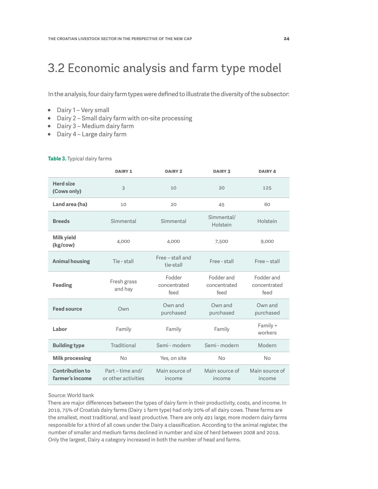### <span id="page-24-0"></span>3.2 Economic analysis and farm type model

In the analysis, four dairy farm types were defined to illustrate the diversity of the subsector:

- Dairy 1 Very small
- Dairy 2 Small dairy farm with on-site processing
- Dairy 3 Medium dairy farm
- Dairy 4 Large dairy farm

#### **Table 3.** Typical dairy farms

|                                           | <b>DAIRY 1</b>                          | <b>DAIRY 2</b>                 | <b>DAIRY 3</b>                     | <b>DAIRY 4</b>                     |
|-------------------------------------------|-----------------------------------------|--------------------------------|------------------------------------|------------------------------------|
| <b>Herd size</b><br>(Cows only)           | 3                                       | 10                             | 20                                 | 125                                |
| Land area (ha)                            | 10                                      | 20                             | 45                                 | 60                                 |
| <b>Breeds</b>                             | Simmental                               | Simmental                      | Simmental/<br>Holstein             | Holstein                           |
| <b>Milk yield</b><br>(kg/cow)             | 4,000                                   | 4,000                          | 7,500                              | 9,000                              |
| <b>Animal housing</b>                     | Tie - stall                             | Free - stall and<br>tie-stall  | Free - stall                       | Free - stall                       |
| <b>Feeding</b>                            | Fresh grass<br>and hay                  | Fodder<br>concentrated<br>feed | Fodder and<br>concentrated<br>feed | Fodder and<br>concentrated<br>feed |
| <b>Feed source</b>                        | Own                                     | Own and<br>purchased           | Own and<br>purchased               | Own and<br>purchased               |
| Labor                                     | Family                                  | Family                         | Family                             | Family +<br>workers                |
| <b>Building type</b>                      | Traditional                             | Semi - modern                  | Semi - modern                      | Modern                             |
| <b>Milk processing</b>                    | No                                      | Yes, on site                   | No                                 | No                                 |
| <b>Contribution to</b><br>farmer's income | Part - time and/<br>or other activities | Main source of<br>income       | Main source of<br>income           | Main source of<br>income           |

#### Source: World bank

There are major differences between the types of dairy farm in their productivity, costs, and income. In 2019, 75% of Croatia's dairy farms (Dairy 1 farm type) had only 20% of all dairy cows. These farms are the smallest, most traditional, and least productive. There are only 491 large, more modern dairy farms responsible for a third of all cows under the Dairy 4 classification. According to the animal register, the number of smaller and medium farms declined in number and size of herd between 2008 and 2019. Only the largest, Dairy 4 category increased in both the number of head and farms.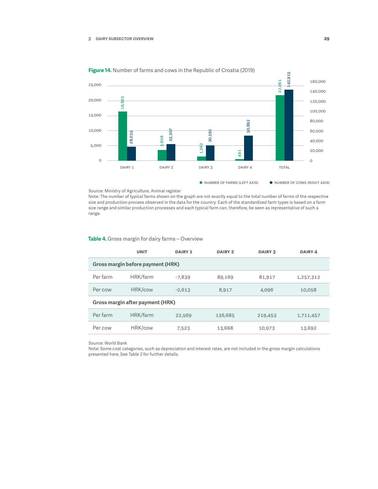<span id="page-25-0"></span>

**Figure 14.** Number of farms and cows in the Republic of Croatia (2019)

#### Source: Ministry of Agriculture, Animal register

Note: The number of typical farms shown on the graph are not exactly equal to the total number of farms of the respective size and production process observed in the data for the country. Each of the standardized farm types is based on a farm size range and similar production processes and each typical farm can, therefore, be seen as representative of such a range.

#### **Table 4.** Gross margin for dairy farms – Overview

|                                   | <b>UNIT</b> | <b>DAIRY 1</b> | <b>DAIRY 2</b> | <b>DAIRY 3</b> | <b>DAIRY 4</b> |
|-----------------------------------|-------------|----------------|----------------|----------------|----------------|
| Gross margin before payment (HRK) |             |                |                |                |                |
| Per farm                          | HRK/farm    | $-7,839$       | 89,169         | 81,917         | 1,257,312      |
| Per cow                           | HRK/cow     | $-2.613$       | 8,917          | 4,096          | 10,058         |
| Gross margin after payment (HRK)  |             |                |                |                |                |
| Per farm                          | HRK/farm    | 22,569         | 136,685        | 219,453        | 1,711,457      |
| Per cow                           | HRK/cow     | 7,523          | 13,668         | 10,973         | 13,692         |

Source: World Bank

Note: Some cost categories, such as depreciation and interest rates, are not included in the gross margin calculations presented here. See Table 2 for further details.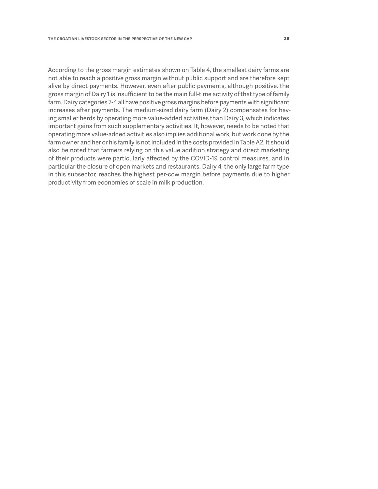According to the gross margin estimates shown on Table 4, the smallest dairy farms are not able to reach a positive gross margin without public support and are therefore kept alive by direct payments. However, even after public payments, although positive, the gross margin of Dairy 1 is insufficient to be the main full-time activity of that type of family farm. Dairy categories 2-4 all have positive gross margins before payments with significant increases after payments. The medium-sized dairy farm (Dairy 2) compensates for having smaller herds by operating more value-added activities than Dairy 3, which indicates important gains from such supplementary activities. It, however, needs to be noted that operating more value-added activities also implies additional work, but work done by the farm owner and her or his family is not included in the costs provided in Table A2. It should also be noted that farmers relying on this value addition strategy and direct marketing of their products were particularly affected by the COVID-19 control measures, and in particular the closure of open markets and restaurants. Dairy 4, the only large farm type in this subsector, reaches the highest per-cow margin before payments due to higher productivity from economies of scale in milk production.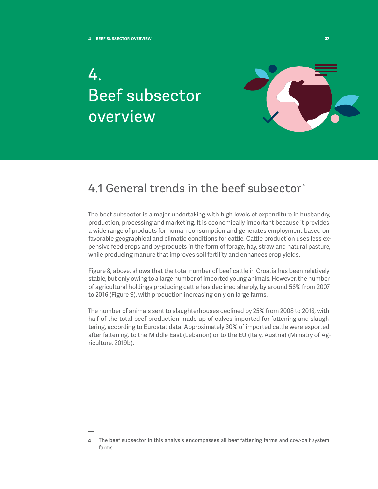4.

# <span id="page-27-0"></span>Beef subsector overview



### 4.1 General trends in the beef subsector<sup>4</sup>

The beef subsector is a major undertaking with high levels of expenditure in husbandry, production, processing and marketing. It is economically important because it provides a wide range of products for human consumption and generates employment based on favorable geographical and climatic conditions for cattle. Cattle production uses less expensive feed crops and by-products in the form of forage, hay, straw and natural pasture, while producing manure that improves soil fertility and enhances crop yields**.**

Figure 8, above, shows that the total number of beef cattle in Croatia has been relatively stable, but only owing to a large number of imported young animals.However, the number of agricultural holdings producing cattle has declined sharply, by around 56% from 2007 to 2016 (Figure 9), with production increasing only on large farms.

The number of animals sent to slaughterhouses declined by 25% from 2008 to 2018, with half of the total beef production made up of calves imported for fattening and slaughtering, according to Eurostat data. Approximately 30% of imported cattle were exported after fattening, to the Middle East (Lebanon) or to the EU (Italy, Austria) (Ministry of Agriculture, 2019b).

**<sup>4</sup>** The beef subsector in this analysis encompasses all beef fattening farms and cow-calf system farms.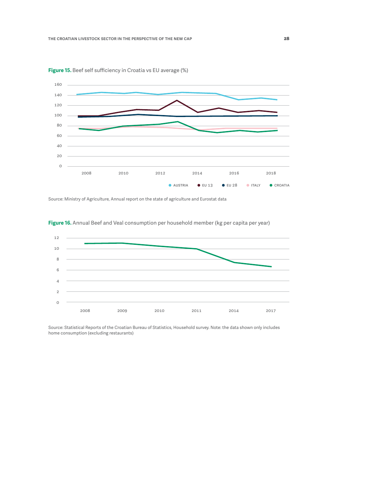

<span id="page-28-0"></span>**Figure 15.** Beef self sufficiency in Croatia vs EU average (%)

Source: Ministry of Agriculture, Annual report on the state of agriculture and Eurostat data



**Figure 16.** Annual Beef and Veal consumption per household member (kg per capita per year)

Source: Statistical Reports of the Croatian Bureau of Statistics, Household survey. Note: the data shown only includes home consumption (excluding restaurants)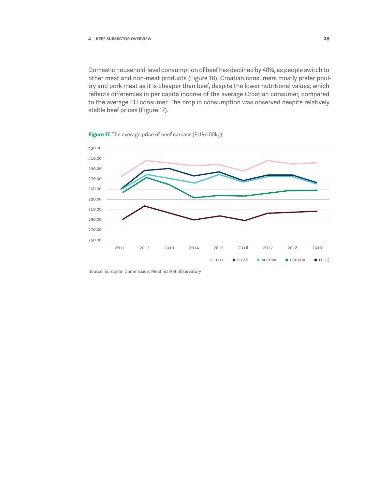<span id="page-29-0"></span>Domestic household-level consumption of beef has declined by 40%, as people switch to other meat and non-meat products (Figure 16). Croatian consumers mostly prefer poultry and pork meat as it is cheaper than beef, despite the lower nutritional values, which reflects differences in per capita income of the average Croatian consumer, compared to the average EU consumer. The drop in consumption was observed despite relatively stable beef prices (Figure 17).



**Figure 17.** The average price of beef carcass (EUR/100kg)

Source: European Commission, Meat market observatory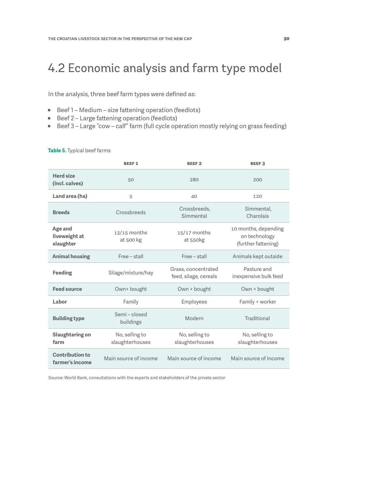### <span id="page-30-0"></span>4.2 Economic analysis and farm type model

In the analysis, three beef farm types were defined as:

- Beef 1 Medium size fattening operation (feedlots)
- Beef 2 Large fattening operation (feedlots)
- Beef 3 Large "cow calf" farm (full cycle operation mostly relying on grass feeding)

#### **Table 5.** Typical beef farms

|                                           | <b>BEEF1</b>                      | <b>BEEF2</b>                                 | <b>BEEF3</b>                                                 |
|-------------------------------------------|-----------------------------------|----------------------------------------------|--------------------------------------------------------------|
| <b>Herd size</b><br>(incl. calves)        | 50                                | 280                                          | 200                                                          |
| Land area (ha)                            | 5                                 | 40                                           | 120                                                          |
| <b>Breeds</b>                             | Crossbreeds                       | Crossbreeds,<br>Simmental                    | Simmental,<br>Charolais                                      |
| Age and<br>liveweight at<br>slaughter     | $13/15$ months<br>at 500 kg       | $15/17$ months<br>at 550kg                   | 10 months, depending<br>on technology<br>(further fattening) |
| <b>Animal housing</b>                     | Free - stall                      | Free - stall                                 | Animals kept outside                                         |
| Feeding                                   | Silage/mixture/hay                | Grass, concentrated<br>feed, silage, cereals | Pasture and<br>inexpensive bulk feed                         |
| <b>Feed source</b>                        | Own+ bought                       | Own + bought                                 | Own + bought                                                 |
| Labor                                     | Family                            | Employees                                    | Family + worker                                              |
| <b>Building type</b>                      | Semi - closed<br>buildings        | Modern                                       | Traditional                                                  |
| Slaughtering on<br>farm                   | No, selling to<br>slaughterhouses | No, selling to<br>slaughterhouses            | No, selling to<br>slaughterhouses                            |
| <b>Contribution to</b><br>farmer's income | Main source of income             | Main source of income                        | Main source of income                                        |

Source: World Bank, consultations with the experts and stakeholders of the private sector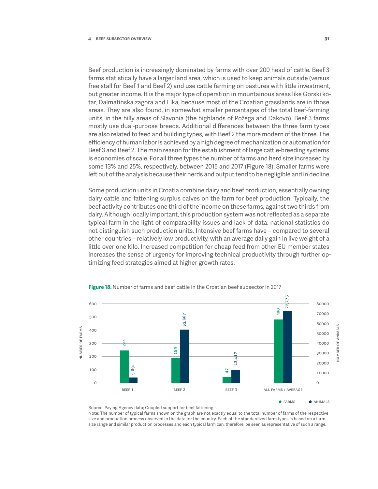<span id="page-31-0"></span>Beef production is increasingly dominated by farms with over 200 head of cattle. Beef 3 farms statistically have a larger land area, which is used to keep animals outside (versus free stall for Beef 1 and Beef 2) and use cattle farming on pastures with little investment, but greater income. It is the major type of operation in mountainous areas like Gorski kotar, Dalmatinska zagora and Lika, because most of the Croatian grasslands are in those areas. They are also found, in somewhat smaller percentages of the total beef-farming units, in the hilly areas of Slavonia (the highlands of Požega and Đakovo). Beef 3 farms mostly use dual-purpose breeds. Additional differences between the three farm types are also related to feed and building types, with Beef 2 the more modern of the three. The efficiency of human labor is achieved by a high degree of mechanization or automation for Beef 3 and Beef 2. The main reason for the establishment of large cattle-breeding systems is economies of scale. For all three types the number of farms and herd size increased by some 13% and 25%, respectively, between 2015 and 2017 (Figure 18). Smaller farms were left out of the analysis because their herds and output tend to be negligible and in decline.

Some production units in Croatia combine dairy and beef production, essentially owning dairy cattle and fattening surplus calves on the farm for beef production. Typically, the beef activity contributes one third of the income on these farms, against two thirds from dairy. Although locally important, this production system was not reflected as a separate typical farm in the light of comparability issues and lack of data: national statistics do not distinguish such production units. Intensive beef farms have – compared to several other countries – relatively low productivity, with an average daily gain in live weight of a little over one kilo. Increased competition for cheap feed from other EU member states increases the sense of urgency for improving technical productivity through further optimizing feed strategies aimed at higher growth rates.



**Figure 18.** Number of farms and beef cattle in the Croatian beef subsector in 2017

Note: The number of typical farms shown on the graph are not exactly equal to the total number of farms of the respective size and production process observed in the data for the country. Each of the standardized farm types is based on a farm size range and similar production processes and each typical farm can, therefore, be seen as representative of such a range.

Source: Paying Agency data; Coupled support for beef fattening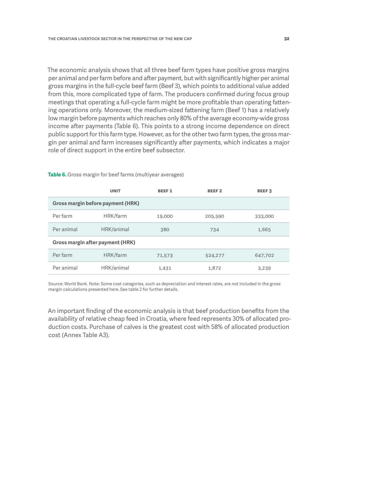<span id="page-32-0"></span>The economic analysis shows that all three beef farm types have positive gross margins per animal and per farm before and after payment, but with significantly higher per animal gross margins in the full-cycle beef farm (Beef 3), which points to additional value added from this, more complicated type of farm. The producers confirmed during focus group meetings that operating a full-cycle farm might be more profitable than operating fattening operations only. Moreover, the medium-sized fattening farm (Beef 1) has a relatively low margin before payments which reaches only 80% of the average economy-wide gross income after payments (Table 6). This points to a strong income dependence on direct public support for this farm type. However, as for the other two farm types, the gross margin per animal and farm increases significantly after payments, which indicates a major role of direct support in the entire beef subsector.

|                                  | <b>UNIT</b>                              | <b>BEEF1</b> | <b>BEEF2</b> | <b>BEEF3</b> |
|----------------------------------|------------------------------------------|--------------|--------------|--------------|
|                                  | <b>Gross margin before payment (HRK)</b> |              |              |              |
| Per farm                         | HRK/farm                                 | 19,000       | 205,590      | 333,000      |
| Per animal                       | HRK/animal                               | 380          | 734          | 1,665        |
| Gross margin after payment (HRK) |                                          |              |              |              |
| Per farm                         | HRK/farm                                 | 71,573       | 524,277      | 647,702      |
| Per animal                       | HRK/animal                               | 1,431        | 1,872        | 3,239        |

**Table 6.** Gross margin for beef farms (multiyear averages)

Source: World Bank. Note: Some cost categories, such as depreciation and interest rates, are not included in the gross margin calculations presented here. See table 2 for further details.

An important finding of the economic analysis is that beef production benefits from the availability of relative cheap feed in Croatia, where feed represents 30% of allocated production costs. Purchase of calves is the greatest cost with 58% of allocated production cost (Annex Table A3).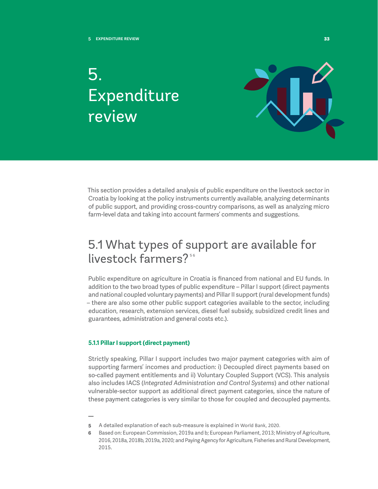## <span id="page-33-0"></span>5. Expenditure review



This section provides a detailed analysis of public expenditure on the livestock sector in Croatia by looking at the policy instruments currently available, analyzing determinants of public support, and providing cross-country comparisons, as well as analyzing micro farm-level data and taking into account farmers' comments and suggestions.

### 5.1 What types of support are available for livestock farmers?<sup>56</sup>

Public expenditure on agriculture in Croatia is financed from national and EU funds. In addition to the two broad types of public expenditure – Pillar I support (direct payments and national coupled voluntary payments) and Pillar II support (rural development funds) – there are also some other public support categories available to the sector, including education, research, extension services, diesel fuel subsidy, subsidized credit lines and guarantees, administration and general costs etc.).

#### **5.1.1 Pillar I support (direct payment)**

Strictly speaking, Pillar I support includes two major payment categories with aim of supporting farmers' incomes and production: i) Decoupled direct payments based on so-called payment entitlements and ii) Voluntary Coupled Support (VCS). This analysis also includes IACS (*Integrated Administration and Control Systems*) and other national vulnerable-sector support as additional direct payment categories, since the nature of these payment categories is very similar to those for coupled and decoupled payments.

**<sup>5</sup>** A detailed explanation of each sub-measure is explained in World Bank, 2020.

**<sup>6</sup>** Based on: European Commission, 2019a and b; European Parliament, 2013; Ministry of Agriculture, 2016, 2018a, 2018b, 2019a, 2020; and Paying Agency for Agriculture, Fisheries and Rural Development, 2015.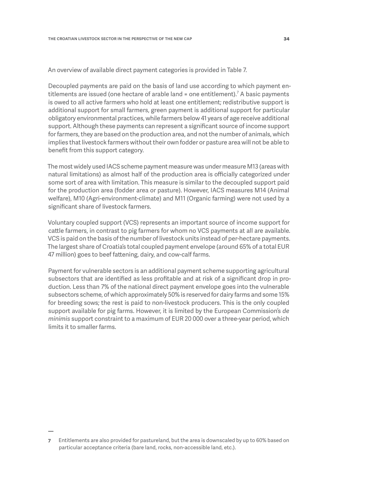An overview of available direct payment categories is provided in Table 7.

Decoupled payments are paid on the basis of land use according to which payment entitlements are issued (one hectare of arable land = one entitlement). $^7$  A basic payments is owed to all active farmers who hold at least one entitlement; redistributive support is additional support for small farmers, green payment is additional support for particular obligatory environmental practices, while farmers below 41 years of age receive additional support. Although these payments can represent a significant source of income support for farmers, they are based on the production area, and not the number of animals, which implies that livestock farmers without their own fodder or pasture area will not be able to benefit from this support category.

The most widely used IACS scheme payment measure was under measure M13 (areas with natural limitations) as almost half of the production area is officially categorized under some sort of area with limitation. This measure is similar to the decoupled support paid for the production area (fodder area or pasture). However, IACS measures M14 (Animal welfare), M10 (Agri-environment-climate) and M11 (Organic farming) were not used by a significant share of livestock farmers.

Voluntary coupled support (VCS) represents an important source of income support for cattle farmers, in contrast to pig farmers for whom no VCS payments at all are available. VCS is paid on the basis of the number of livestock units instead of per-hectare payments. The largest share of Croatia's total coupled payment envelope (around 65% of a total EUR 47 million) goes to beef fattening, dairy, and cow-calf farms.

Payment for vulnerable sectors is an additional payment scheme supporting agricultural subsectors that are identified as less profitable and at risk of a significant drop in production. Less than 7% of the national direct payment envelope goes into the vulnerable subsectors scheme, of which approximately 50% is reserved for dairy farms and some 15% for breeding sows; the rest is paid to non-livestock producers. This is the only coupled support available for pig farms. However, it is limited by the European Commission's *de minimis* support constraint to a maximum of EUR 20 000 over a three-year period, which limits it to smaller farms.

**<sup>7</sup>** Entitlements are also provided for pastureland, but the area is downscaled by up to 60% based on particular acceptance criteria (bare land, rocks, non-accessible land, etc.).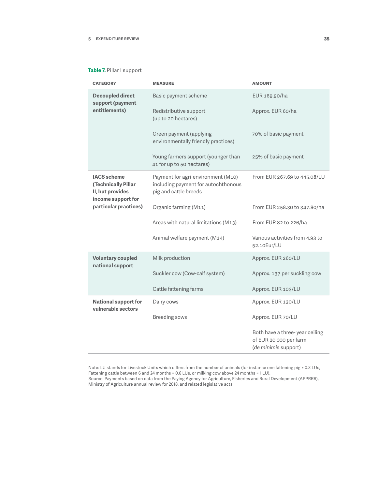#### <span id="page-35-0"></span>**Table 7.** Pillar I support

| <b>CATEGORY</b>                                                                     | <b>MEASURE</b>                                                                                     | <b>AMOUNT</b>                                                                    |
|-------------------------------------------------------------------------------------|----------------------------------------------------------------------------------------------------|----------------------------------------------------------------------------------|
| <b>Decoupled direct</b><br>support (payment                                         | Basic payment scheme                                                                               | EUR 169.90/ha                                                                    |
| entitlements)                                                                       | Redistributive support<br>(up to 20 hectares)                                                      | Approx. EUR 60/ha                                                                |
|                                                                                     | Green payment (applying<br>environmentally friendly practices)                                     | 70% of basic payment                                                             |
|                                                                                     | Young farmers support (younger than<br>41 for up to 50 hectares)                                   | 25% of basic payment                                                             |
| <b>IACS</b> scheme<br>(Technically Pillar<br>II, but provides<br>income support for | Payment for agri-environment (M10)<br>including payment for autochthonous<br>pig and cattle breeds | From EUR 267.69 to 445.08/LU                                                     |
| particular practices)                                                               | Organic farming (M11)                                                                              | From EUR 258.30 to 347.80/ha                                                     |
|                                                                                     | Areas with natural limitations (M13)                                                               | From EUR 82 to 226/ha                                                            |
|                                                                                     | Animal welfare payment (M14)                                                                       | Various activities from 4.93 to<br>52.10Eur/LU                                   |
| <b>Voluntary coupled</b><br>national support                                        | Milk production                                                                                    | Approx. EUR 260/LU                                                               |
|                                                                                     | Suckler cow (Cow-calf system)                                                                      | Approx. 137 per suckling cow                                                     |
|                                                                                     | Cattle fattening farms                                                                             | Approx. EUR 103/LU                                                               |
| <b>National support for</b><br>vulnerable sectors                                   | Dairy cows                                                                                         | Approx. EUR 130/LU                                                               |
|                                                                                     | <b>Breeding sows</b>                                                                               | Approx. EUR 70/LU                                                                |
|                                                                                     |                                                                                                    | Both have a three-year ceiling<br>of EUR 20 000 per farm<br>(de minimis support) |

Note: LU stands for Livestock Units which differs from the number of animals (for instance one fattening pig = 0.3 LUs, Fattening cattle between 6 and 24 months = 0.6 LUs, or milking cow above 24 months = 1 LU). Source: Payments based on data from the Paying Agency for Agriculture, Fisheries and Rural Development (APPRRR), Ministry of Agriculture annual review for 2018, and related legislative acts.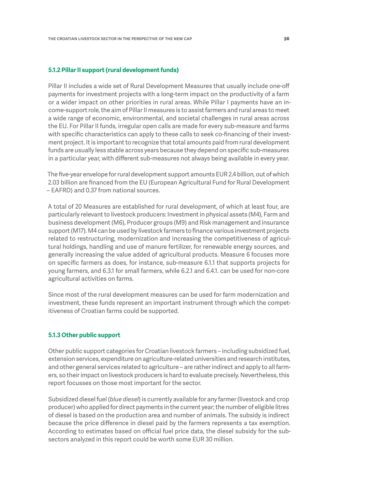#### <span id="page-36-0"></span>**5.1.2 Pillar II support (rural development funds)**

Pillar II includes a wide set of Rural Development Measures that usually include one-off payments for investment projects with a long-term impact on the productivity of a farm or a wider impact on other priorities in rural areas. While Pillar I payments have an income-support role, the aim of Pillar II measures is to assist farmers and rural areas to meet a wide range of economic, environmental, and societal challenges in rural areas across the EU. For Pillar II funds, irregular open calls are made for every sub-measure and farms with specific characteristics can apply to these calls to seek co-financing of their investment project. It is important to recognize that total amounts paid from rural development funds are usually less stable across years because they depend on specific sub-measures in a particular year, with different sub-measures not always being available in every year.

The five-year envelope for rural development support amounts EUR 2.4 billion, out of which 2.03 billion are financed from the EU (European Agricultural Fund for Rural Development – EAFRD) and 0.37 from national sources.

A total of 20 Measures are established for rural development, of which at least four, are particularly relevant to livestock producers: Investment in physical assets (M4), Farm and business development (M6), Producer groups (M9) and Risk management and insurance support (M17). M4 can be used by livestock farmers to finance various investment projects related to restructuring, modernization and increasing the competitiveness of agricultural holdings, handling and use of manure fertilizer, for renewable energy sources, and generally increasing the value added of agricultural products. Measure 6 focuses more on specific farmers as does, for instance, sub-measure 6.1.1 that supports projects for young farmers, and 6.3.1 for small farmers, while 6.2.1 and 6.4.1. can be used for non-core agricultural activities on farms.

Since most of the rural development measures can be used for farm modernization and investment, these funds represent an important instrument through which the competitiveness of Croatian farms could be supported.

#### **5.1.3 Other public support**

Other public support categories for Croatian livestock farmers – including subsidized fuel, extension services, expenditure on agriculture-related universities and research institutes, and other general services related to agriculture – are rather indirect and apply to all farmers, so their impact on livestock producers is hard to evaluate precisely. Nevertheless, this report focusses on those most important for the sector.

Subsidized diesel fuel (*blue diesel*) is currently available for any farmer (livestock and crop producer) who applied for direct payments in the current year; the number of eligible litres of diesel is based on the production area and number of animals. The subsidy is indirect because the price difference in diesel paid by the farmers represents a tax exemption. According to estimates based on official fuel price data, the diesel subsidy for the subsectors analyzed in this report could be worth some EUR 30 million.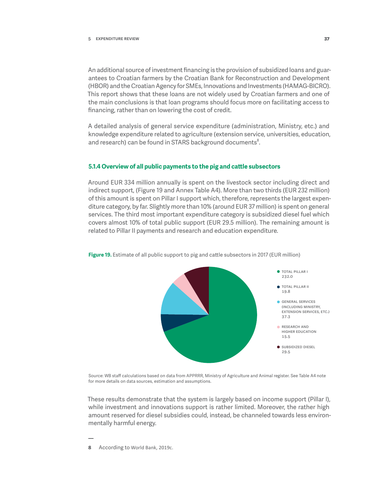<span id="page-37-0"></span>An additional source of investment financing is the provision of subsidized loans and guarantees to Croatian farmers by the Croatian Bank for Reconstruction and Development (HBOR) and the Croatian Agency for SMEs, Innovations and Investments (HAMAG-BICRO). This report shows that these loans are not widely used by Croatian farmers and one of the main conclusions is that loan programs should focus more on facilitating access to financing, rather than on lowering the cost of credit.

A detailed analysis of general service expenditure (administration, Ministry, etc.) and knowledge expenditure related to agriculture (extension service, universities, education, and research) can be found in STARS background documents<sup>8</sup>.

#### **5.1.4 Overview of all public payments to the pig and cattle subsectors**

Around EUR 334 million annually is spent on the livestock sector including direct and indirect support, (Figure 19 and Annex Table A4). More than two thirds (EUR 232 million) of this amount is spent on Pillar I support which, therefore, represents the largest expenditure category, by far. Slightly more than 10% (around EUR 37 million) is spent on general services. The third most important expenditure category is subsidized diesel fuel which covers almost 10% of total public support (EUR 29.5 million). The remaining amount is related to Pillar II payments and research and education expenditure.



**Figure 19.** Estimate of all public support to pig and cattle subsectors in 2017 (EUR million)

Source: WB staff calculations based on data from APPRRR, Ministry of Agriculture and Animal register. See Table A4 note for more details on data sources, estimation and assumptions.

These results demonstrate that the system is largely based on income support (Pillar I), while investment and innovations support is rather limited. Moreover, the rather high amount reserved for diesel subsidies could, instead, be channeled towards less environmentally harmful energy.

**8** According to World Bank, 2019c.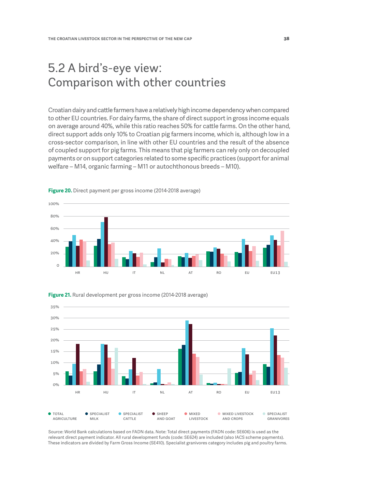### <span id="page-38-0"></span>5.2 A bird's-eye view: Comparison with other countries

Croatian dairy and cattle farmers have a relatively high income dependency when compared to other EU countries. For dairy farms, the share of direct support in gross income equals on average around 40%, while this ratio reaches 50% for cattle farms. On the other hand, direct support adds only 10% to Croatian pig farmers income, which is, although low in a cross-sector comparison, in line with other EU countries and the result of the absence of coupled support for pig farms. This means that pig farmers can rely only on decoupled payments or on support categories related to some specific practices (support for animal welfare – M14, organic farming – M11 or autochthonous breeds – M10).



**Figure 20.** Direct payment per gross income (2014-2018 average)



**Figure 21.** Rural development per gross income (2014-2018 average)

Source: World Bank calculations based on FADN data. Note: Total direct payments (FADN code: SE606) is used as the relevant direct payment indicator. All rural development funds (code: SE624) are included (also IACS scheme payments). These indicators are divided by Farm Gross Income (SE410). Specialist granivores category includes pig and poultry farms.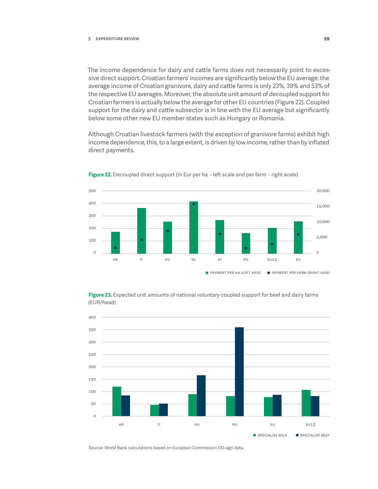<span id="page-39-0"></span>The income dependence for dairy and cattle farms does not necessarily point to excessive direct support. Croatian farmers' incomes are significantly below the EU average: the average income of Croatian granivore, dairy and cattle farms is only 23%, 39% and 53% of the respective EU averages. Moreover, the absolute unit amount of decoupled support for Croatian farmers is actually below the average for other EU countries (Figure 22). Coupled support for the dairy and cattle subsector is in line with the EU average but significantly below some other new EU member states such as Hungary or Romania.

Although Croatian livestock farmers (with the exception of granivore farms) exhibit high income dependence, this, to a large extent, is driven by low income, rather than by inflated direct payments.



**Figure 22.** Decoupled direct support (in Eur per ha - left scale and per farm – right scale)





Source: World Bank calculations based on European Commission DG-agri data.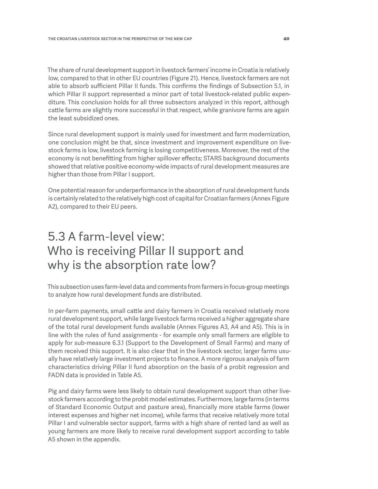<span id="page-40-0"></span>The share of rural development support in livestock farmers' income in Croatia is relatively low, compared to that in other EU countries (Figure 21). Hence, livestock farmers are not able to absorb sufficient Pillar II funds. This confirms the findings of Subsection 5.1, in which Pillar II support represented a minor part of total livestock-related public expenditure. This conclusion holds for all three subsectors analyzed in this report, although cattle farms are slightly more successful in that respect, while granivore farms are again the least subsidized ones.

Since rural development support is mainly used for investment and farm modernization, one conclusion might be that, since investment and improvement expenditure on livestock farms is low, livestock farming is losing competitiveness. Moreover, the rest of the economy is not benefitting from higher spillover effects; STARS background documents showed that relative positive economy-wide impacts of rural development measures are higher than those from Pillar I support.

One potential reason for underperformance in the absorption of rural development funds is certainly related to the relatively high cost of capital for Croatian farmers (Annex Figure A2), compared to their EU peers.

### 5.3 A farm-level view: Who is receiving Pillar II support and why is the absorption rate low?

This subsection uses farm-level data and comments from farmers in focus-group meetings to analyze how rural development funds are distributed.

In per-farm payments, small cattle and dairy farmers in Croatia received relatively more rural development support, while large livestock farms received a higher aggregate share of the total rural development funds available (Annex Figures A3, A4 and A5). This is in line with the rules of fund assignments - for example only small farmers are eligible to apply for sub-measure 6.3.1 (Support to the Development of Small Farms) and many of them received this support. It is also clear that in the livestock sector, larger farms usually have relatively large investment projects to finance. A more rigorous analysis of farm characteristics driving Pillar II fund absorption on the basis of a probit regression and FADN data is provided in Table A5.

Pig and dairy farms were less likely to obtain rural development support than other livestock farmers according to the probit model estimates. Furthermore, large farms (in terms of Standard Economic Output and pasture area), financially more stable farms (lower interest expenses and higher net income), while farms that receive relatively more total Pillar I and vulnerable sector support, farms with a high share of rented land as well as young farmers are more likely to receive rural development support according to table A5 shown in the appendix.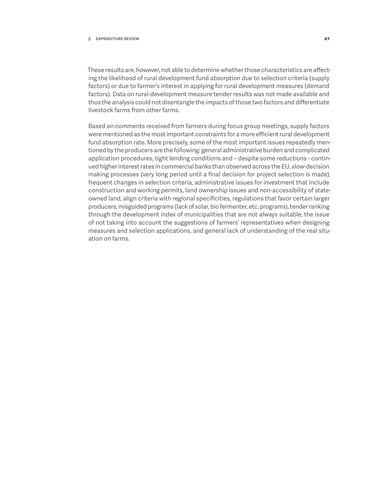#### **5 Expenditure review 41**

These results are, however, not able to determine whether those characteristics are affecting the likelihood of rural development fund absorption due to selection criteria (supply factors) or due to farmer's interest in applying for rural development measures (demand factors). Data on rural-development measure tender results was not made available and thus the analysis could not disentangle the impacts of those two factors and differentiate livestock farms from other farms.

Based on comments received from farmers during focus group meetings, supply factors were mentioned as the most important constraints for a more efficient rural development fund absorption rate. More precisely, some of the most important issues repeatedly mentioned by the producers are the following: general administrative burden and complicated application procedures, tight lending conditions and – despite some reductions - continued higher interest rates in commercial banks than observed across the EU, slow-decision making processes (very long period until a final decision for project selection is made), frequent changes in selection criteria, administrative issues for investment that include construction and working permits, land ownership issues and non-accessibility of stateowned land, align criteria with regional specificities, regulations that favor certain larger producers, misguided programs (lack of solar, bio fermenter, etc. programs), tender ranking through the development index of municipalities that are not always suitable, the issue of not taking into account the suggestions of farmers' representatives when designing measures and selection applications, and general lack of understanding of the real situation on farms.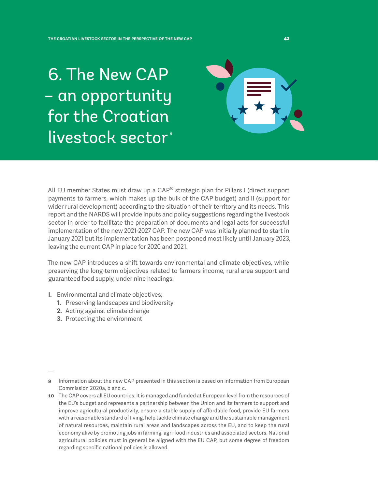<span id="page-42-0"></span>6. The New CAP – an opportunity for the Croatian livestock sector<sup>\*</sup>

All EU member States must draw up a CAP<sup>10</sup> strategic plan for Pillars I (direct support payments to farmers, which makes up the bulk of the CAP budget) and II (support for wider rural development) according to the situation of their territory and its needs. This report and the NARDS will provide inputs and policy suggestions regarding the livestock sector in order to facilitate the preparation of documents and legal acts for successful implementation of the new 2021-2027 CAP. The new CAP was initially planned to start in January 2021 but its implementation has been postponed most likely until January 2023, leaving the current CAP in place for 2020 and 2021.

The new CAP introduces a shift towards environmental and climate objectives, while preserving the long-term objectives related to farmers income, rural area support and guaranteed food supply, under nine headings:

- **I.** Environmental and climate objectives;
	- **1.** Preserving landscapes and biodiversity
	- **2.** Acting against climate change
	- **3.** Protecting the environment

**<sup>9</sup>** Information about the new CAP presented in this section is based on information from European Commission 2020a, b and c.

**<sup>10</sup>** The CAP covers all EU countries. It is managed and funded at European level from the resources of the EU's budget and represents a partnership between the Union and its farmers to support and improve agricultural productivity, ensure a stable supply of affordable food, provide EU farmers with a reasonable standard of living, help tackle climate change and the sustainable management of natural resources, maintain rural areas and landscapes across the EU, and to keep the rural economy alive by promoting jobs in farming, agri-food industries and associated sectors. National agricultural policies must in general be aligned with the EU CAP, but some degree of freedom regarding specific national policies is allowed.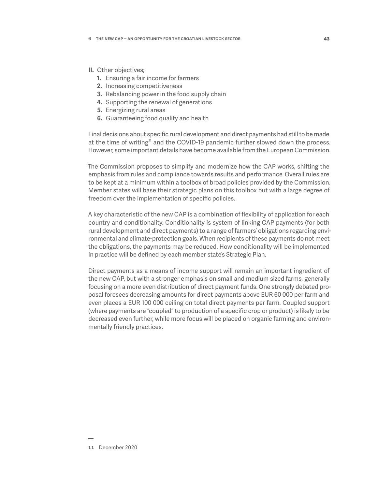#### **II.** Other objectives;

- **1.** Ensuring a fair income for farmers
- **2.** Increasing competitiveness
- **3.** Rebalancing power in the food supply chain
- **4.** Supporting the renewal of generations
- **5.** Energizing rural areas
- **6.** Guaranteeing food quality and health

Final decisions about specific rural development and direct payments had still to be made at the time of writing<sup>11</sup> and the COVID-19 pandemic further slowed down the process. However, some important details have become available from the European Commission.

The Commission proposes to simplify and modernize how the CAP works, shifting the emphasis from rules and compliance towards results and performance. Overall rules are to be kept at a minimum within a toolbox of broad policies provided by the Commission. Member states will base their strategic plans on this toolbox but with a large degree of freedom over the implementation of specific policies.

A key characteristic of the new CAP is a combination of flexibility of application for each country and conditionality. Conditionality is system of linking CAP payments (for both rural development and direct payments) to a range of farmers' obligations regarding environmental and climate-protection goals. When recipients of these payments do not meet the obligations, the payments may be reduced. How conditionality will be implemented in practice will be defined by each member state's Strategic Plan.

Direct payments as a means of income support will remain an important ingredient of the new CAP, but with a stronger emphasis on small and medium sized farms, generally focusing on a more even distribution of direct payment funds. One strongly debated proposal foresees decreasing amounts for direct payments above EUR 60 000 per farm and even places a EUR 100 000 ceiling on total direct payments per farm. Coupled support (where payments are "coupled" to production of a specific crop or product) is likely to be decreased even further, while more focus will be placed on organic farming and environmentally friendly practices.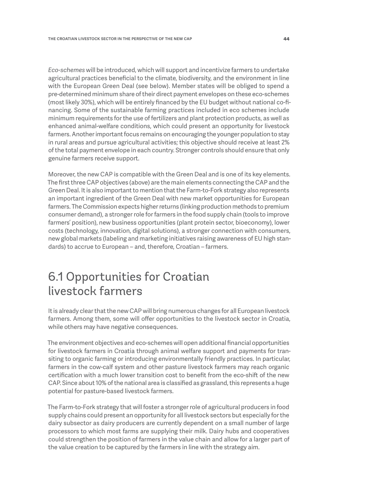<span id="page-44-0"></span>*Eco-schemes* will be introduced, which will support and incentivize farmers to undertake agricultural practices beneficial to the climate, biodiversity, and the environment in line with the European Green Deal (see below). Member states will be obliged to spend a pre-determined minimum share of their direct payment envelopes on these eco-schemes (most likely 30%), which will be entirely financed by the EU budget without national co-financing. Some of the sustainable farming practices included in eco schemes include minimum requirements for the use of fertilizers and plant protection products, as well as enhanced animal-welfare conditions, which could present an opportunity for livestock farmers. Another important focus remains on encouraging the younger population to stay in rural areas and pursue agricultural activities; this objective should receive at least 2% of the total payment envelope in each country. Stronger controls should ensure that only genuine farmers receive support.

Moreover, the new CAP is compatible with the Green Deal and is one of its key elements. The first three CAP objectives (above) are the main elements connecting the CAP and the Green Deal. It is also important to mention that the Farm-to-Fork strategy also represents an important ingredient of the Green Deal with new market opportunities for European farmers. The Commission expects higher returns (linking production methods to premium consumer demand), a stronger role for farmers in the food supply chain (tools to improve farmers' position), new business opportunities (plant protein sector, bioeconomy), lower costs (technology, innovation, digital solutions), a stronger connection with consumers, new global markets (labeling and marketing initiatives raising awareness of EU high standards) to accrue to European – and, therefore, Croatian – farmers.

### 6.1 Opportunities for Croatian livestock farmers

It is already clear that the new CAP will bring numerous changes for all European livestock farmers. Among them, some will offer opportunities to the livestock sector in Croatia, while others may have negative consequences.

The environment objectives and eco-schemes will open additional financial opportunities for livestock farmers in Croatia through animal welfare support and payments for transiting to organic farming or introducing environmentally friendly practices. In particular, farmers in the cow-calf system and other pasture livestock farmers may reach organic certification with a much lower transition cost to benefit from the eco-shift of the new CAP. Since about 10% of the national area is classified as grassland, this represents a huge potential for pasture-based livestock farmers.

The Farm-to-Fork strategy that will foster a stronger role of agricultural producers in food supply chains could present an opportunity for all livestock sectors but especially for the dairy subsector as dairy producers are currently dependent on a small number of large processors to which most farms are supplying their milk. Dairy hubs and cooperatives could strengthen the position of farmers in the value chain and allow for a larger part of the value creation to be captured by the farmers in line with the strategy aim.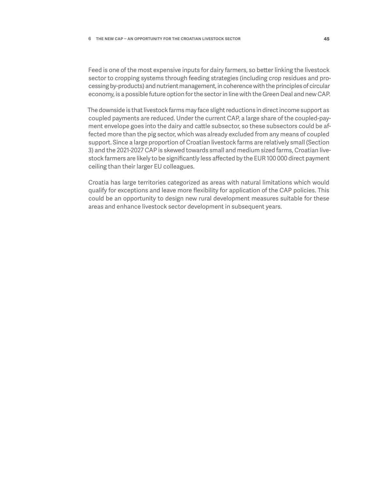Feed is one of the most expensive inputs for dairy farmers, so better linking the livestock sector to cropping systems through feeding strategies (including crop residues and processing by-products) and nutrient management, in coherence with the principles of circular economy, is a possible future option for the sector in line with the Green Deal and new CAP.

The downside is that livestock farms may face slight reductions in direct income support as coupled payments are reduced. Under the current CAP, a large share of the coupled-payment envelope goes into the dairy and cattle subsector, so these subsectors could be affected more than the pig sector, which was already excluded from any means of coupled support. Since a large proportion of Croatian livestock farms are relatively small (Section 3) and the 2021-2027 CAP is skewed towards small and medium sized farms, Croatian livestock farmers are likely to be significantly less affected by the EUR 100 000 direct payment ceiling than their larger EU colleagues.

Croatia has large territories categorized as areas with natural limitations which would qualify for exceptions and leave more flexibility for application of the CAP policies. This could be an opportunity to design new rural development measures suitable for these areas and enhance livestock sector development in subsequent years.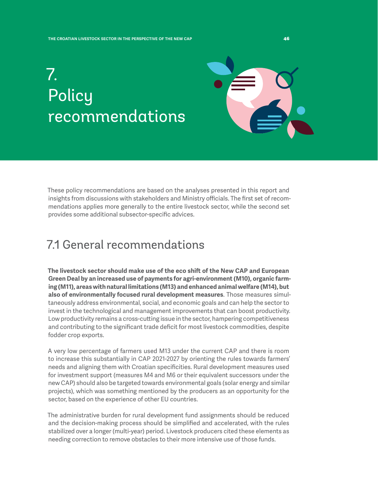## <span id="page-46-0"></span>7. **Policy** recommendations



These policy recommendations are based on the analyses presented in this report and insights from discussions with stakeholders and Ministry officials. The first set of recommendations applies more generally to the entire livestock sector, while the second set provides some additional subsector-specific advices.

### 7.1 General recommendations

**The livestock sector should make use of the eco shift of the New CAP and European Green Deal by an increased use of payments for agri-environment (M10), organic farming (M11), areas with natural limitations (M13) and enhanced animal welfare (M14), but also of environmentally focused rural development measures**. Those measures simultaneously address environmental, social, and economic goals and can help the sector to invest in the technological and management improvements that can boost productivity. Low productivity remains a cross-cutting issue in the sector, hampering competitiveness and contributing to the significant trade deficit for most livestock commodities, despite fodder crop exports.

A very low percentage of farmers used M13 under the current CAP and there is room to increase this substantially in CAP 2021-2027 by orienting the rules towards farmers' needs and aligning them with Croatian specificities. Rural development measures used for investment support (measures M4 and M6 or their equivalent successors under the new CAP) should also be targeted towards environmental goals (solar energy and similar projects), which was something mentioned by the producers as an opportunity for the sector, based on the experience of other EU countries.

The administrative burden for rural development fund assignments should be reduced and the decision-making process should be simplified and accelerated, with the rules stabilized over a longer (multi-year) period. Livestock producers cited these elements as needing correction to remove obstacles to their more intensive use of those funds.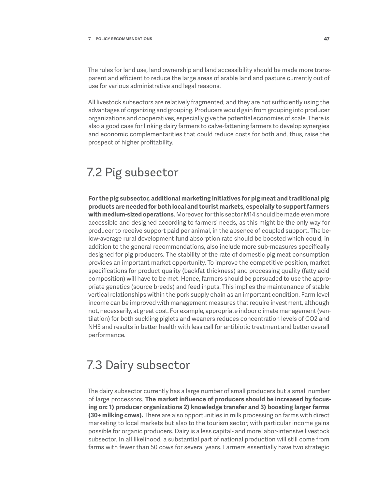<span id="page-47-0"></span>The rules for land use, land ownership and land accessibility should be made more transparent and efficient to reduce the large areas of arable land and pasture currently out of use for various administrative and legal reasons.

All livestock subsectors are relatively fragmented, and they are not sufficiently using the advantages of organizing and grouping. Producers would gain from grouping into producer organizations and cooperatives, especially give the potential economies of scale. There is also a good case for linking dairy farmers to calve-fattening farmers to develop synergies and economic complementarities that could reduce costs for both and, thus, raise the prospect of higher profitability.

### 7.2 Pig subsector

**For the pig subsector, additional marketing initiatives for pig meat and traditional pig products are needed for both local and tourist markets, especially to support farmers with medium-sized operations**. Moreover, for this sector M14 should be made even more accessible and designed according to farmers' needs**,** as this might be the only way for producer to receive support paid per animal, in the absence of coupled support. The below-average rural development fund absorption rate should be boosted which could, in addition to the general recommendations, also include more sub-measures specifically designed for pig producers. The stability of the rate of domestic pig meat consumption provides an important market opportunity. To improve the competitive position, market specifications for product quality (backfat thickness) and processing quality (fatty acid composition) will have to be met. Hence, farmers should be persuaded to use the appropriate genetics (source breeds) and feed inputs. This implies the maintenance of stable vertical relationships within the pork supply chain as an important condition. Farm level income can be improved with management measures that require investment, although not, necessarily, at great cost. For example, appropriate indoor climate management (ventilation) for both suckling piglets and weaners reduces concentration levels of CO2 and NH3 and results in better health with less call for antibiotic treatment and better overall performance.

### 7.3 Dairy subsector

The dairy subsector currently has a large number of small producers but a small number of large processors. **The market influence of producers should be increased by focusing on: 1) producer organizations 2) knowledge transfer and 3) boosting larger farms (30+ milking cows).** There are also opportunities in milk processing on farms with direct marketing to local markets but also to the tourism sector, with particular income gains possible for organic producers. Dairy is a less capital- and more labor-intensive livestock subsector. In all likelihood, a substantial part of national production will still come from farms with fewer than 50 cows for several years. Farmers essentially have two strategic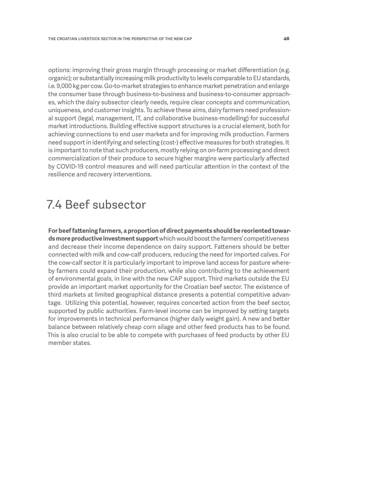<span id="page-48-0"></span>options: improving their gross margin through processing or market differentiation (e.g. organic); or substantially increasing milk productivity to levels comparable to EU standards, i.e. 9,000 kg per cow. Go-to-market strategies to enhance market penetration and enlarge the consumer base through business-to-business and business-to-consumer approaches, which the dairy subsector clearly needs, require clear concepts and communication, uniqueness, and customer insights. To achieve these aims, dairy farmers need professional support (legal, management, IT, and collaborative business-modelling) for successful market introductions. Building effective support structures is a crucial element, both for achieving connections to end user markets and for improving milk production. Farmers need support in identifying and selecting (cost-) effective measures for both strategies. It is important to note that such producers, mostly relying on on-farm processing and direct commercialization of their produce to secure higher margins were particularly affected by COVID-19 control measures and will need particular attention in the context of the resilience and recovery interventions.

### 7.4 Beef subsector

**For beef fattening farmers, a proportion of direct payments should be reoriented towards more productive investment support** which would boost the farmers' competitiveness and decrease their income dependence on dairy support. Fatteners should be better connected with milk and cow-calf producers, reducing the need for imported calves. For the cow-calf sector it is particularly important to improve land access for pasture whereby farmers could expand their production, while also contributing to the achievement of environmental goals, in line with the new CAP support. Third markets outside the EU provide an important market opportunity for the Croatian beef sector. The existence of third markets at limited geographical distance presents a potential competitive advantage. Utilizing this potential, however, requires concerted action from the beef sector, supported by public authorities. Farm-level income can be improved by setting targets for improvements in technical performance (higher daily weight gain). A new and better balance between relatively cheap corn silage and other feed products has to be found. This is also crucial to be able to compete with purchases of feed products by other EU member states.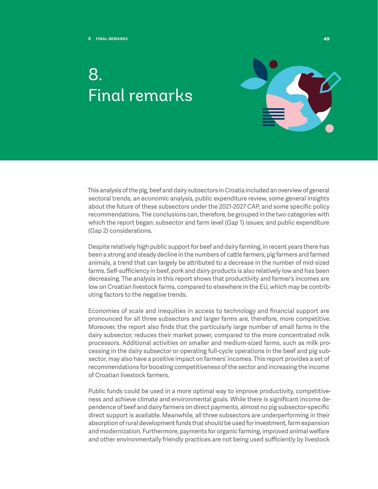## <span id="page-49-0"></span>8. Final remarks



This analysis of the pig, beef and dairy subsectors in Croatia included an overview of general sectoral trends, an economic analysis, public expenditure review, some general insights about the future of these subsectors under the 2021-2027 CAP, and some specific policy recommendations. The conclusions can, therefore, be grouped in the two categories with which the report began: subsector and farm level (Gap 1) issues; and public expenditure (Gap 2) considerations.

Despite relatively high public support for beef and dairy farming, in recent years there has been a strong and steady decline in the numbers of cattle farmers, pig farmers and farmed animals, a trend that can largely be attributed to a decrease in the number of mid-sized farms. Self-sufficiency in beef, pork and dairy products is also relatively low and has been decreasing. The analysis in this report shows that productivity and farmer's incomes are low on Croatian livestock farms, compared to elsewhere in the EU, which may be contributing factors to the negative trends.

Economies of scale and inequities in access to technology and financial support are pronounced for all three subsectors and larger farms are, therefore, more competitive. Moreover, the report also finds that the particularly large number of small farms in the dairy subsector, reduces their market power, compared to the more concentrated milk processors. Additional activities on smaller and medium-sized farms, such as milk processing in the dairy subsector or operating full-cycle operations in the beef and pig subsector, may also have a positive impact on farmers' incomes. This report provides a set of recommendations for boosting competitiveness of the sector and increasing the income of Croatian livestock farmers.

Public funds could be used in a more optimal way to improve productivity, competitiveness and achieve climate and environmental goals. While there is significant income dependence of beef and dairy farmers on direct payments, almost no pig subsector-specific direct support is available. Meanwhile, all three subsectors are underperforming in their absorption of rural development funds that should be used for investment, farm expansion and modernization. Furthermore, payments for organic farming, improved animal welfare and other environmentally friendly practices are not being used sufficiently by livestock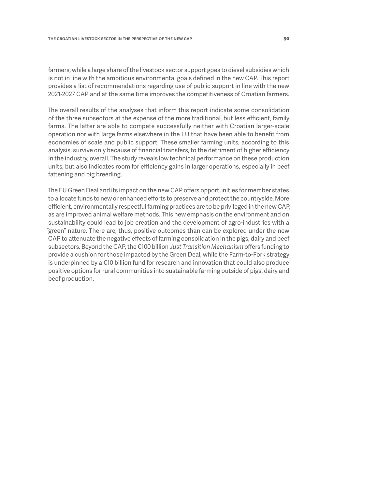farmers, while a large share of the livestock sector support goes to diesel subsidies which is not in line with the ambitious environmental goals defined in the new CAP. This report provides a list of recommendations regarding use of public support in line with the new 2021-2027 CAP and at the same time improves the competitiveness of Croatian farmers.

The overall results of the analyses that inform this report indicate some consolidation of the three subsectors at the expense of the more traditional, but less efficient, family farms. The latter are able to compete successfully neither with Croatian larger-scale operation nor with large farms elsewhere in the EU that have been able to benefit from economies of scale and public support. These smaller farming units, according to this analysis, survive only because of financial transfers, to the detriment of higher efficiency in the industry, overall. The study reveals low technical performance on these production units, but also indicates room for efficiency gains in larger operations, especially in beef fattening and pig breeding.

The EU Green Deal and its impact on the new CAP offers opportunities for member states to allocate funds to new or enhanced efforts to preserve and protect the countryside. More efficient, environmentally respectful farming practices are to be privileged in the new CAP, as are improved animal welfare methods. This new emphasis on the environment and on sustainability could lead to job creation and the development of agro-industries with a "green" nature. There are, thus, positive outcomes than can be explored under the new CAP to attenuate the negative effects of farming consolidation in the pigs, dairy and beef subsectors. Beyond the CAP, the €100 billion *Just Transition Mechanism* offers funding to provide a cushion for those impacted by the Green Deal, while the Farm-to-Fork strategy is underpinned by a €10 billion fund for research and innovation that could also produce positive options for rural communities into sustainable farming outside of pigs, dairy and beef production.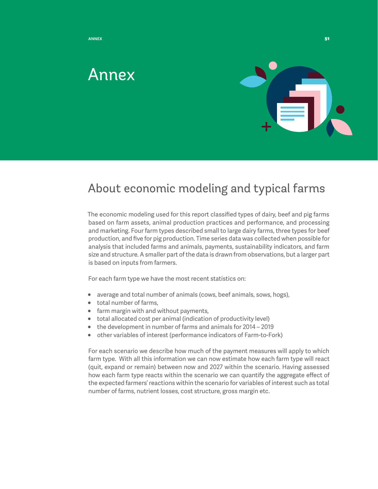<span id="page-51-0"></span>

### Annex



### About economic modeling and typical farms

The economic modeling used for this report classified types of dairy, beef and pig farms based on farm assets, animal production practices and performance, and processing and marketing. Four farm types described small to large dairy farms, three types for beef production, and five for pig production. Time series data was collected when possible for analysis that included farms and animals, payments, sustainability indicators, and farm size and structure. A smaller part of the data is drawn from observations, but a larger part is based on inputs from farmers.

For each farm type we have the most recent statistics on:

- average and total number of animals (cows, beef animals, sows, hogs),
- total number of farms,
- farm margin with and without payments,
- total allocated cost per animal (indication of productivity level)
- the development in number of farms and animals for 2014 2019
- other variables of interest (performance indicators of Farm-to-Fork)

For each scenario we describe how much of the payment measures will apply to which farm type. With all this information we can now estimate how each farm type will react (quit, expand or remain) between now and 2027 within the scenario. Having assessed how each farm type reacts within the scenario we can quantify the aggregate effect of the expected farmers' reactions within the scenario for variables of interest such as total number of farms, nutrient losses, cost structure, gross margin etc.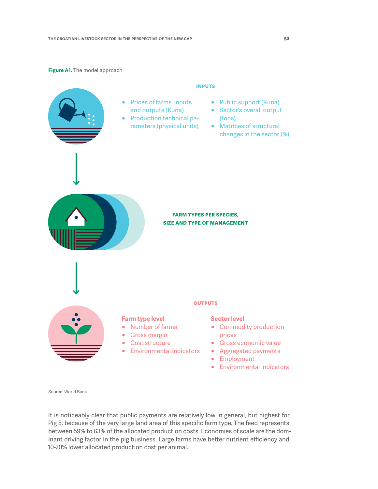#### **Figure A1.** The model approach



Source: World Bank

It is noticeably clear that public payments are relatively low in general, but highest for Pig 5, because of the very large land area of this specific farm type. The feed represents between 59% to 63% of the allocated production costs. Economies of scale are the dominant driving factor in the pig business. Large farms have better nutrient efficiency and 10-20% lower allocated production cost per animal.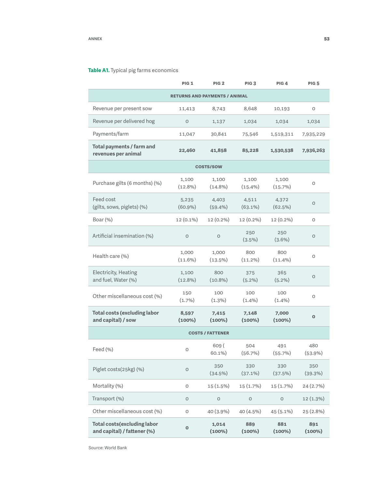#### **Table A1.** Typical pig farms economics

|                                                                    | <b>PIG 1</b>        | PIG <sub>2</sub>    | PIG <sub>3</sub>    | PIG <sub>4</sub>    | <b>PIG 5</b>     |  |
|--------------------------------------------------------------------|---------------------|---------------------|---------------------|---------------------|------------------|--|
| <b>RETURNS AND PAYMENTS / ANIMAL</b>                               |                     |                     |                     |                     |                  |  |
| Revenue per present sow                                            | 11,413              | 8,743               | 8,648               | 10,193              | O                |  |
| Revenue per delivered hog                                          | $\circ$             | 1,137               | 1,034               | 1,034               | 1,034            |  |
| Payments/farm                                                      | 11,047              | 30,841              | 75,546              | 1,519,311           | 7,935,229        |  |
| Total payments / farm and<br>revenues per animal                   | 22,460              | 41,858              | 85,228              | 1,530,538           | 7,936,263        |  |
|                                                                    |                     | <b>COSTS/SOW</b>    |                     |                     |                  |  |
| Purchase gilts (6 months) (%)                                      | 1,100<br>$(12.8\%)$ | 1,100<br>$(14.8\%)$ | 1,100<br>$(15.4\%)$ | 1,100<br>$(15.7\%)$ | O                |  |
| Feed cost<br>(gilts, sows, piglets) (%)                            | 5,235<br>$(60.9\%)$ | 4,403<br>$(59.4\%)$ | 4,511<br>$(63.1\%)$ | 4,372<br>(62.5%)    | 0                |  |
| Boar $(\%)$                                                        | 12 (0.1%)           | $12(0.2\%)$         | 12 (0.2%)           | 12 (0.2%)           | O                |  |
| Artificial insemination (%)                                        | $\circ$             | $\circ$             | 250<br>$(3.5\%)$    | 250<br>$(3.6\%)$    | $\circ$          |  |
| Health care (%)                                                    | 1,000<br>$(11.6\%)$ | 1,000<br>(13.5%)    | 800<br>$(11.2\%)$   | 800<br>$(11.4\%)$   | O                |  |
| <b>Electricity, Heating</b><br>and fuel, Water (%)                 | 1,100<br>$(12.8\%)$ | 800<br>$(10.8\%)$   | 375<br>$(5.2\%)$    | 365<br>$(5.2\%)$    | 0                |  |
| Other miscellaneous cost (%)                                       | 150<br>$(1.7\%)$    | 100<br>$(1.3\%)$    | 100<br>$(1.4\%)$    | 100<br>$(1.4\%)$    | O                |  |
| <b>Total costs (excluding labor</b><br>and capital) / sow          | 8,597<br>$(100\%)$  | 7,415<br>$(100\%)$  | 7,148<br>$(100\%)$  | 7,000<br>$(100\%)$  | $\bf{0}$         |  |
| <b>COSTS / FATTENER</b>                                            |                     |                     |                     |                     |                  |  |
| Feed (%)                                                           | O                   | 609 (<br>60.1%)     | 504<br>(56.7%)      | 491<br>(55.7%)      | 480<br>(53.9%)   |  |
| Piglet costs(25kg) (%)                                             | $\circ$             | 350<br>(34.5%)      | 330<br>$(37.1\%)$   | 330<br>(37.5%)      | 350<br>(39.3%)   |  |
| Mortality (%)                                                      | $\circ$             | 15 (1.5%)           | 15 (1.7%)           | 15 (1.7%)           | 24 (2.7%)        |  |
| Transport (%)                                                      | O                   | $\mathsf O$         | O                   | $\circ$             | 12 (1.3%)        |  |
| Other miscellaneous cost (%)                                       | $\mathsf O$         | 40 (3.9%)           | 40 (4.5%)           | 45 (5.1%)           | 25 (2.8%)        |  |
| <b>Total costs (excluding labor</b><br>and capital) / fattener (%) | $\mathbf 0$         | 1,014<br>$(100\%)$  | 889<br>$(100\%)$    | 881<br>$(100\%)$    | 891<br>$(100\%)$ |  |

Source: World Bank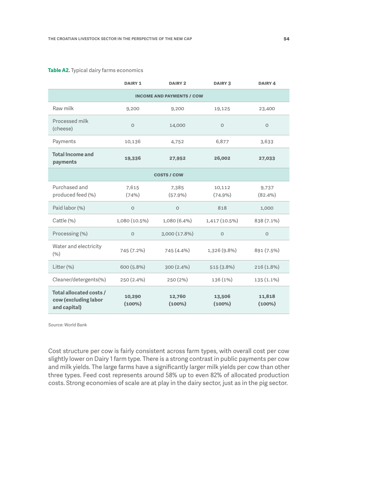#### **Table A2.** Typical dairy farms economics

|                                                                 | <b>DAIRY 1</b>      | <b>DAIRY 2</b>      | <b>DAIRY 3</b>       | <b>DAIRY 4</b>      |  |  |
|-----------------------------------------------------------------|---------------------|---------------------|----------------------|---------------------|--|--|
| <b>INCOME AND PAYMENTS / COW</b>                                |                     |                     |                      |                     |  |  |
| Raw milk                                                        | 9,200               | 9,200               | 19,125               | 23,400              |  |  |
| Processed milk<br>(cheese)                                      | $\circ$             | 14,000              | $\circ$              | $\circ$             |  |  |
| Payments                                                        | 10,136              | 4,752               | 6,877                | 3,633               |  |  |
| <b>Total Income and</b><br>payments                             | 19,336              | 27,952              | 26,002               | 27,033              |  |  |
| <b>COSTS / COW</b>                                              |                     |                     |                      |                     |  |  |
| Purchased and<br>produced feed (%)                              | 7,615<br>(74%)      | 7,385<br>$(57.9\%)$ | 10,112<br>$(74.9\%)$ | 9,737<br>$(82.4\%)$ |  |  |
| Paid labor (%)                                                  | $\circ$             | $\circ$             | 818                  | 1,000               |  |  |
| Cattle (%)                                                      | 1,080 (10.5%)       | 1,080 (6.4%)        | 1,417 (10.5%)        | 838 (7.1%)          |  |  |
| Processing (%)                                                  | $\circ$             | 3,000 (17.8%)       | $\circ$              | $\circ$             |  |  |
| Water and electricity<br>(9/6)                                  | 745 (7.2%)          | 745 (4.4%)          | 1,326 (9.8%)         | 891 (7.5%)          |  |  |
| Litter (%)                                                      | 600 (5.8%)          | $300(2.4\%)$        | 515 (3.8%)           | $216(1.8\%)$        |  |  |
| Cleaner/detergents(%)                                           | 250 (2.4%)          | 250(2%)             | 136 (1%)             | $135(1.1\%)$        |  |  |
| Total allocated costs /<br>cow (excluding labor<br>and capital) | 10,290<br>$(100\%)$ | 12,760<br>$(100\%)$ | 13,506<br>$(100\%)$  | 11,818<br>$(100\%)$ |  |  |

Source: World Bank

Cost structure per cow is fairly consistent across farm types, with overall cost per cow slightly lower on Dairy 1 farm type. There is a strong contrast in public payments per cow and milk yields. The large farms have a significantly larger milk yields per cow than other three types. Feed cost represents around 58% up to even 82% of allocated production costs. Strong economies of scale are at play in the dairy sector, just as in the pig sector.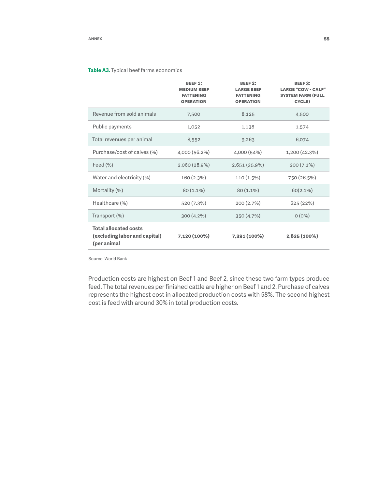#### **Table A3.** Typical beef farms economics

|                                                                              | <b>BEEF 1:</b><br><b>MEDIUM BEEF</b><br><b>FATTENING</b><br><b>OPERATION</b> | <b>BEEF 2:</b><br><b>LARGE BEEF</b><br><b>FATTENING</b><br><b>OPERATION</b> | <b>BEEF3:</b><br><b>LARGE "COW - CALF"</b><br><b>SYSTEM FARM (FULL</b><br>CYCLE) |
|------------------------------------------------------------------------------|------------------------------------------------------------------------------|-----------------------------------------------------------------------------|----------------------------------------------------------------------------------|
| Revenue from sold animals                                                    | 7,500                                                                        | 8,125                                                                       | 4,500                                                                            |
| Public payments                                                              | 1,052                                                                        | 1,138                                                                       | 1,574                                                                            |
| Total revenues per animal                                                    | 8,552                                                                        | 9,263                                                                       | 6,074                                                                            |
| Purchase/cost of calves (%)                                                  | 4,000 (56.2%)                                                                | 4,000 (54%)                                                                 | 1,200 (42.3%)                                                                    |
| Feed $(\% )$                                                                 | 2,060 (28.9%)                                                                | 2,651 (35.9%)                                                               | $200(7.1\%)$                                                                     |
| Water and electricity (%)                                                    | 160 (2.3%)                                                                   | 110 (1.5%)                                                                  | 750 (26.5%)                                                                      |
| Mortality (%)                                                                | $80(1.1\%)$                                                                  | 80 (1.1%)                                                                   | 60(2.1%)                                                                         |
| Healthcare (%)                                                               | 520 (7.3%)                                                                   | 200 (2.7%)                                                                  | 625 (22%)                                                                        |
| Transport (%)                                                                | 300 (4.2%)                                                                   | 350 (4.7%)                                                                  | $O(0\%)$                                                                         |
| <b>Total allocated costs</b><br>(excluding labor and capital)<br>(per animal | 7,120 (100%)                                                                 | 7,391 (100%)                                                                | 2,835 (100%)                                                                     |

Source: World Bank

Production costs are highest on Beef 1 and Beef 2, since these two farm types produce feed. The total revenues per finished cattle are higher on Beef 1 and 2. Purchase of calves represents the highest cost in allocated production costs with 58%. The second highest cost is feed with around 30% in total production costs.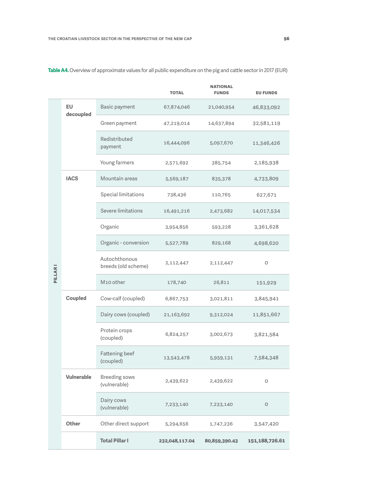|                |                   |                                      | <b>TOTAL</b>   | <b>NATIONAL</b><br><b>FUNDS</b> | <b>EU FUNDS</b> |
|----------------|-------------------|--------------------------------------|----------------|---------------------------------|-----------------|
|                | EU<br>decoupled   | Basic payment                        | 67,874,046     | 21,040,954                      | 46,833,092      |
|                |                   | Green payment                        | 47,219,014     | 14,637,894                      | 32,581,119      |
|                |                   | Redistributed<br>payment             | 16,444,096     | 5,097,670                       | 11,346,426      |
|                |                   | Young farmers                        | 2,571,692      | 385,754                         | 2,185,938       |
|                | <b>IACS</b>       | Mountain areas                       | 5,569,187      | 835,378                         | 4,733,809       |
|                |                   | Special limitations                  | 738,436        | 110,765                         | 627,671         |
|                |                   | Severe limitations                   | 16,491,216     | 2,473,682                       | 14,017,534      |
| <b>PILLARI</b> |                   | Organic                              | 3,954,856      | 593,228                         | 3,361,628       |
|                |                   | Organic - conversion                 | 5,527,789      | 829,168                         | 4,698,620       |
|                |                   | Autochthonous<br>breeds (old scheme) | 2,112,447      | 2,112,447                       | O               |
|                |                   | M10 other                            | 178,740        | 26,811                          | 151,929         |
|                | Coupled           | Cow-calf (coupled)                   | 6,867,753      | 3,021,811                       | 3,845,941       |
|                |                   | Dairy cows (coupled)                 | 21,163,692     | 9,312,024                       | 11,851,667      |
|                |                   | Protein crops<br>(coupled)           | 6,824,257      | 3,002,673                       | 3,821,584       |
|                |                   | <b>Fattening beef</b><br>(coupled)   | 13,543,478     | 5,959,131                       | 7,584,348       |
|                | <b>Vulnerable</b> | <b>Breeding sows</b><br>(vulnerable) | 2,439,622      | 2,439,622                       | 0               |
|                |                   | Dairy cows<br>(vulnerable)           | 7,233,140      | 7,233,140                       | O               |
|                | <b>Other</b>      | Other direct support                 | 5,294,656      | 1,747,236                       | 3,547,420       |
|                |                   | <b>Total Pillar I</b>                | 232,048,117.04 | 80,859,390.43                   | 151,188,726.61  |

**Table A4.** Overview of approximate values for all public expenditure on the pig and cattle sector in 2017 (EUR)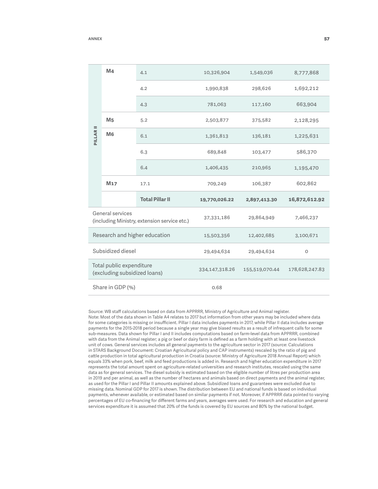|                                                                  | M4              | 4.1                    | 10,326,904     | 1,549,036      | 8,777,868     |
|------------------------------------------------------------------|-----------------|------------------------|----------------|----------------|---------------|
| PILLAR <sub>II</sub>                                             |                 | 4.2                    | 1,990,838      | 298,626        | 1,692,212     |
|                                                                  |                 | 4.3                    | 781,063        | 117,160        | 663,904       |
|                                                                  | M <sub>5</sub>  | 5.2                    | 2,503,877      | 375,582        | 2,128,295     |
|                                                                  | M <sub>6</sub>  | 6.1                    | 1,361,813      | 136,181        | 1,225,631     |
|                                                                  |                 | 6.3                    | 689,848        | 103,477        | 586,370       |
|                                                                  |                 | 6.4                    | 1,406,435      | 210,965        | 1,195,470     |
|                                                                  | M <sub>17</sub> | 17.1                   | 709,249        | 106,387        | 602,862       |
|                                                                  |                 | <b>Total Pillar II</b> | 19,770,026.22  | 2,897,413.30   | 16,872,612.92 |
| General services<br>(including Ministry, extension service etc.) |                 | 37,331,186             | 29,864,949     | 7,466,237      |               |
| Research and higher education                                    |                 | 15,503,356             | 12,402,685     | 3,100,671      |               |
| Subsidized diesel                                                |                 | 29,494,634             | 29,494,634     | $\circ$        |               |
| Total public expenditure<br>(excluding subsidized loans)         |                 | 334,147,318.26         | 155,519,070.44 | 178,628,247.83 |               |
| Share in GDP (%)                                                 |                 |                        | 0.68           |                |               |

Source: WB staff calculations based on data from APPRRR, Ministry of Agriculture and Animal register. Note: Most of the data shown in Table A4 relates to 2017 but information from other years may be included where data for some categories is missing or insufficient. Pillar I data includes payments in 2017, while Pillar II data includes average payments for the 2015-2018 period because a single year may give biased results as a result of infrequent calls for some sub-measures. Data shown for Pillar I and II includes computations based on farm-level data from APPRRR, combined with data from the Animal register; a pig or beef or dairy farm is defined as a farm holding with at least one livestock unit of cows. General services includes all general payments to the agriculture sector in 2017 (source: Calculations in STARS Background Document: Croatian Agricultural policy and CAP instruments) rescaled by the ratio of pig and cattle production in total agricultural production in Croatia (source: Ministry of Agriculture 2018 Annual Report) which equals 33% when pork, beef, milk and feed productions is added in. Research and higher education expenditure in 2017 represents the total amount spent on agriculture-related universities and research institutes, rescaled using the same data as for general services. The diesel subsidy is estimated based on the eligible number of litres per production area in 2019 and per animal, as well as the number of hectares and animals based on direct payments and the animal register, as used for the Pillar I and Pillar II amounts explained above. Subsidized loans and guarantees were excluded due to missing data. Nominal GDP for 2017 is shown. The distribution between EU and national funds is based on individual payments, whenever available, or estimated based on similar payments if not. Moreover, if APPRRR data pointed to varying percentages of EU co-financing for different farms and years, averages were used. For research and education and general services expenditure it is assumed that 20% of the funds is covered by EU sources and 80% by the national budget.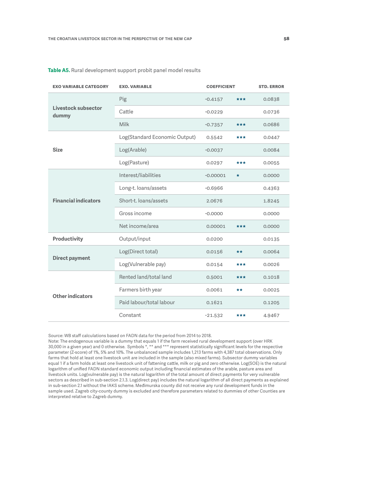| <b>EXO VARIABLE CATEGORY</b> | <b>COEFFICIENT</b><br><b>EXO. VARIABLE</b> |            |         | <b>STD. ERROR</b> |
|------------------------------|--------------------------------------------|------------|---------|-------------------|
|                              | Pig                                        | $-0.4157$  | ***     | 0.0838            |
| Livestock subsector<br>dummy | Cattle                                     | $-0.0229$  |         | 0.0736            |
|                              | Milk                                       | $-0.7357$  | ***     | 0.0686            |
|                              | Log(Standard Economic Output)              | 0.5542     | ***     | 0.0447            |
| <b>Size</b>                  | Log(Arable)                                | $-0.0037$  |         | 0.0084            |
|                              | Log(Pasture)                               | 0.0297     | ***     | 0.0055            |
|                              | Interest/liabilities                       | $-0.00001$ | $\star$ | 0.0000            |
|                              | Long-t. loans/assets                       | $-0.6966$  |         | 0.4363            |
| <b>Financial indicators</b>  | Short-t. loans/assets                      | 2.0676     |         | 1.8245            |
|                              | Gross income                               | $-0.0000$  |         | 0.0000            |
|                              | Net income/area                            | 0.00001    | ***     | 0.0000            |
| <b>Productivity</b>          | Output/input                               | 0.0200     |         | 0.0135            |
|                              | Log(Direct total)                          | 0.0156     | $***$   | 0.0064            |
| <b>Direct payment</b>        | Log(Vulnerable pay)                        | 0.0154     | ***     | 0.0026            |
|                              | Rented land/total land                     | 0.5001     | ***     | 0.1018            |
| <b>Other indicators</b>      | Farmers birth year                         | 0.0061     | **      | 0.0025            |
|                              | Paid labour/total labour                   | 0.1621     |         | 0.1205            |
|                              | Constant                                   | $-21.532$  | ***     | 4.9467            |

**Table A5.** Rural development support probit panel model results

Source: WB staff calculations based on FADN data for the period from 2014 to 2018.

Note: The endogenous variable is a dummy that equals 1 if the farm received rural development support (over HRK 30,000 in a given year) and 0 otherwise. Symbols \*, \*\* and \*\*\* represent statistically significant levels for the respective parameter (Z-score) of 1%, 5% and 10%. The unbalanced sample includes 1,213 farms with 4,387 total observations. Only farms that hold at least one livestock unit are included in the sample (also mixed farms). Subsector dummy variables equal 1 if a farm holds at least one livestock unit of fattening cattle, milk or pig and zero otherwise. Log(SOE) is the natural logarithm of unified FADN standard economic output including financial estimates of the arable, pasture area and livestock units. Log(vulnerable pay) is the natural logarithm of the total amount of direct payments for very vulnerable sectors as described in sub-section 2.1.3. Log(direct pay) includes the natural logarithm of all direct payments as explained in sub-section 2.1 without the IAKS scheme. Međimurska county did not receive any rural development funds in the sample used. Zagreb city-county dummy is excluded and therefore parameters related to dummies of other Counties are interpreted relative to Zagreb dummy.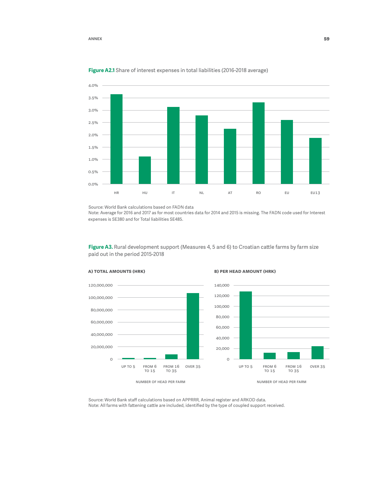#### **Annex 59**



#### **Figure A2.1** Share of interest expenses in total liabilities (2016-2018 average)

Source: World Bank calculations based on FADN data

Note: Average for 2016 and 2017 as for most countries data for 2014 and 2015 is missing. The FADN code used for Interest expenses is SE380 and for Total liabilities SE485.

Figure A3. Rural development support (Measures 4, 5 and 6) to Croatian cattle farms by farm size paid out in the period 2015-2018



#### **a) Total amounts (HRK) b) Per head amount (HRK)**



Source: World Bank staff calculations based on APPRRR, Animal register and ARKOD data. Note: All farms with fattening cattle are included, identified by the type of coupled support received.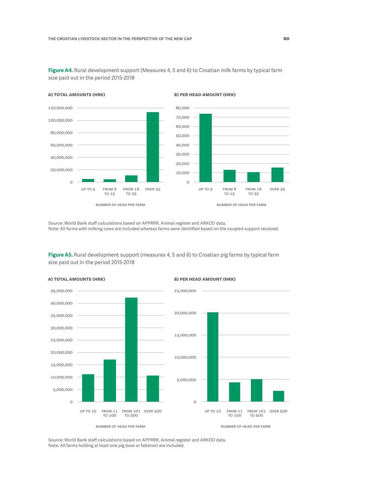**Figure A4.** Rural development support (Measures 4, 5 and 6) to Croatian milk farms by typical farm size paid out in the period 2015-2018



**a) Total amounts (HRK) b) Per head amount (HRK)**



number of head per farm

Source: World Bank staff calculations based on APPRRR, Animal register and ARKOD data. Note: All farms with milking cows are included whereas farms were identified based on the coupled support received.

**Figure A5.** Rural development support (measures 4, 5 and 6) to Croatian pig farms by typical farm size paid out in the period 2015-2018



Source: World Bank staff calculations based on APPRRR, Animal register and ARKOD data. Note: All farms holding at least one pig (sow or fattener) are included.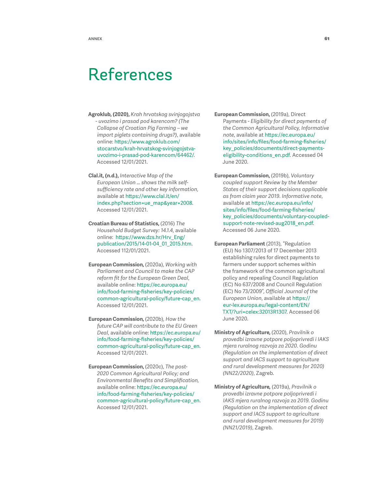## <span id="page-61-0"></span>References

- **Agroklub, (2020),** *Krah hrvatskog svinjogojstva - uvozimo i prasad pod karencom? (The Collapse of Croatian Pig Farming – we import piglets containing drugs?)*, available online: [https://www.agroklub.com/](https://www.agroklub.com/stocarstvo/krah-hrvatskog-svinjogojstva-uvozimo-i-prasad-pod-karencom/64462/) [stocarstvo/krah-hrvatskog-svinjogojstva](https://www.agroklub.com/stocarstvo/krah-hrvatskog-svinjogojstva-uvozimo-i-prasad-pod-karencom/64462/)[uvozimo-i-prasad-pod-karencom/64462/.](https://www.agroklub.com/stocarstvo/krah-hrvatskog-svinjogojstva-uvozimo-i-prasad-pod-karencom/64462/) Accessed 12/01/2021.
- **Clal.it, (n.d.),** *Interactive Map of the European Union … shows the milk selfsufficiency rate and other key information*, available at [https://www.clal.it/en/](https://www.clal.it/en/index.php?section=ue_map&year=2008) [index.php?section=ue\\_map&year=2008](https://www.clal.it/en/index.php?section=ue_map&year=2008). Accessed 12/01/2021.
- **Croatian Bureau of Statistics,** (2016) *The Household Budget Survey: 14.1.4*, available online: [https://www.dzs.hr/Hrv\\_Eng/](https://www.dzs.hr/Hrv_Eng/publication/2015/14-01-04_01_2015.htm) [publication/2015/14-01-04\\_01\\_2015.htm](https://www.dzs.hr/Hrv_Eng/publication/2015/14-01-04_01_2015.htm). Accessed 112/01/2021.
- **European Commission,** (2020a), *Working with Parliament and Council to make the CAP reform fit for the European Green Deal*, available online: [https://ec.europa.eu/](https://ec.europa.eu/info/food-farming-fisheries/key-policies/common-agricultural-policy/future-cap_en) [info/food-farming-fisheries/key-policies/](https://ec.europa.eu/info/food-farming-fisheries/key-policies/common-agricultural-policy/future-cap_en) [common-agricultural-policy/future-cap\\_en](https://ec.europa.eu/info/food-farming-fisheries/key-policies/common-agricultural-policy/future-cap_en). Accessed 12/01/2021.
- **European Commission,** (2020b), *How the future CAP will contribute to the EU Green Deal*, available online: [https://ec.europa.eu/](https://ec.europa.eu/info/food-farming-fisheries/key-policies/common-agricultural-policy/future-cap_en) [info/food-farming-fisheries/key-policies/](https://ec.europa.eu/info/food-farming-fisheries/key-policies/common-agricultural-policy/future-cap_en) [common-agricultural-policy/future-cap\\_en](https://ec.europa.eu/info/food-farming-fisheries/key-policies/common-agricultural-policy/future-cap_en). Accessed 12/01/2021.
- **European Commission,** (2020c), *The post-2020 Common Agricultural Policy; and Environmental Benefits and Simplification,* available online: [https://ec.europa.eu/](https://ec.europa.eu/info/food-farming-fisheries/key-policies/common-agricultural-policy/future-cap_en) [info/food-farming-fisheries/key-policies/](https://ec.europa.eu/info/food-farming-fisheries/key-policies/common-agricultural-policy/future-cap_en) [common-agricultural-policy/future-cap\\_en](https://ec.europa.eu/info/food-farming-fisheries/key-policies/common-agricultural-policy/future-cap_en). Accessed 12/01/2021.
- **European Commission,** (2019a), Direct Payments - *Eligibility for direct payments of the Common Agricultural Policy, Informative note*, available at [https://ec.europa.eu/](https://ec.europa.eu/info/sites/info/files/food-farming-fisheries/key_policies/documents/direct-payments-eligibility-conditions_en.pdf) [info/sites/info/files/food-farming-fisheries/](https://ec.europa.eu/info/sites/info/files/food-farming-fisheries/key_policies/documents/direct-payments-eligibility-conditions_en.pdf) [key\\_policies/documents/direct-payments](https://ec.europa.eu/info/sites/info/files/food-farming-fisheries/key_policies/documents/direct-payments-eligibility-conditions_en.pdf)[eligibility-conditions\\_en.pdf.](https://ec.europa.eu/info/sites/info/files/food-farming-fisheries/key_policies/documents/direct-payments-eligibility-conditions_en.pdf) Accessed 04 June 2020.
- **European Commission,** (2019b), *Voluntary coupled support Review by the Member States of their support decisions applicable as from claim year 2019. Informative note*, available at [https://ec.europa.eu/info/](https://ec.europa.eu/info/sites/info/files/food-farming-fisheries/key_policies/documents/voluntary-coupled-support-note-revised-aug2018_en.pdf) [sites/info/files/food-farming-fisheries/](https://ec.europa.eu/info/sites/info/files/food-farming-fisheries/key_policies/documents/voluntary-coupled-support-note-revised-aug2018_en.pdf) [key\\_policies/documents/voluntary-coupled](https://ec.europa.eu/info/sites/info/files/food-farming-fisheries/key_policies/documents/voluntary-coupled-support-note-revised-aug2018_en.pdf)[support-note-revised-aug2018\\_en.pdf](https://ec.europa.eu/info/sites/info/files/food-farming-fisheries/key_policies/documents/voluntary-coupled-support-note-revised-aug2018_en.pdf). Accessed 06 June 2020.
- **European Parliament** (2013), "Regulation (EU) No 1307/2013 of 17 December 2013 establishing rules for direct payments to farmers under support schemes within the framework of the common agricultural policy and repealing Council Regulation (EC) No 637/2008 and Council Regulation (EC) No 73/2009", *Official Journal of the European Union*, available at [https://](https://eur-lex.europa.eu/legal-content/EN/TXT/?uri=celex:32013R1307) [eur-lex.europa.eu/legal-content/EN/](https://eur-lex.europa.eu/legal-content/EN/TXT/?uri=celex:32013R1307) [TXT/?uri=celex:32013R1307](https://eur-lex.europa.eu/legal-content/EN/TXT/?uri=celex:32013R1307). Accessed 06 June 2020.
- **Ministry of Agriculture,** (2020), *Pravilnik o provedbi izravne potpore poljoprivredi i IAKS mjera ruralnog razvoja za 2020. Godinu (Regulation on the implementation of direct support and IACS support to agriculture and rural development measures for 2020) (NN22/2020)*, Zagreb.
- **Ministry of Agriculture,** (2019a), *Pravilnik o provedbi izravne potpore poljoprivredi i IAKS mjera ruralnog razvoja za 2019. Godinu (Regulation on the implementation of direct support and IACS support to agriculture and rural development measures for 2019) (NN21/2019)*, Zagreb.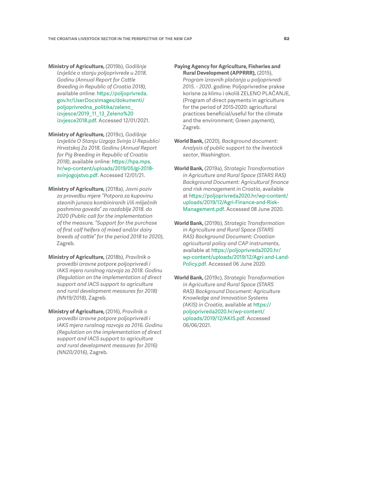**Ministry of Agriculture,** (2019b), *Godišnje Izvješće o stanju poljoprivrede u 2018. Godinu (Annual Report for Cattle Breeding in Republic of Croatia 2018),* available online: [https://poljoprivreda.](https://poljoprivreda.gov.hr/UserDocsImages/dokumenti/poljoprivredna_politika/zeleno_izvjesce/2019_11_13_Zeleno%20izvjesce2018.pdf) [gov.hr/UserDocsImages/dokumenti/](https://poljoprivreda.gov.hr/UserDocsImages/dokumenti/poljoprivredna_politika/zeleno_izvjesce/2019_11_13_Zeleno%20izvjesce2018.pdf) [poljoprivredna\\_politika/zeleno\\_](https://poljoprivreda.gov.hr/UserDocsImages/dokumenti/poljoprivredna_politika/zeleno_izvjesce/2019_11_13_Zeleno%20izvjesce2018.pdf) [izvjesce/2019\\_11\\_13\\_Zeleno%20](https://poljoprivreda.gov.hr/UserDocsImages/dokumenti/poljoprivredna_politika/zeleno_izvjesce/2019_11_13_Zeleno%20izvjesce2018.pdf) [izvjesce2018.pdf.](https://poljoprivreda.gov.hr/UserDocsImages/dokumenti/poljoprivredna_politika/zeleno_izvjesce/2019_11_13_Zeleno%20izvjesce2018.pdf) Accessed 12/01/2021.

**Ministry of Agriculture,** (2019c), *Godišnje Izvješće O Stanju Uzgoja Svinja U Republici Hrvatskoj Za 2018. Godinu (Annual Report for Pig Breeding in Republic of Croatia 2018)*, available online: [https://hpa.mps.](https://hpa.mps.hr/wp-content/uploads/2019/05/gi-2018-svinjogojstvo.pdf) [hr/wp-content/uploads/2019/05/gi-2018](https://hpa.mps.hr/wp-content/uploads/2019/05/gi-2018-svinjogojstvo.pdf) [svinjogojstvo.pdf.](https://hpa.mps.hr/wp-content/uploads/2019/05/gi-2018-svinjogojstvo.pdf) Accessed 12/01/21.

**Ministry of Agriculture,** (2018a), *Javni poziv za provedbu mjere "Potpora za kupovinu steonih junaca kombiniranih i/ili mliječnih pashmina goveda" za razdoblje 2018. do 2020 (Public call for the implementation of the measure, "Support for the purchase of first calf heifers of mixed and/or dairy breeds of cattle" for the period 2018 to 2020)*, Zagreb.

**Ministry of Agriculture,** (2018b), *Pravilnik o provedbi izravne potpore poljoprivredi i IAKS mjera ruralnog razvoja za 2018. Godinu (Regulation on the implementation of direct support and IACS support to agriculture and rural development measures for 2018) (NN19/2018)*, Zagreb.

**Ministry of Agriculture,** (2016), *Pravilnik o provedbi izravne potpore poljoprivredi i IAKS mjera ruralnog razvoja za 2016. Godinu (Regulation on the implementation of direct support and IACS support to agriculture and rural development measures for 2016) (NN20/2016)*, Zagreb.

**Paying Agency for Agriculture, Fisheries and Rural Development (APPRRR),** (2015),

*Program izravnih plaćanja u poljoprivredi 2015. - 2020*. godine: Poljoprivredne prakse korisne za klimu i okoliš ZELENO PLAĆANJE, (Program of direct payments in agriculture for the period of 2015-2020: agricultural practices beneficial/useful for the climate and the environment; Green payment), Zagreb.

- **World Bank,** (2020), *Background document: Analysis of public support to the livestock sector*, Washington.
- **World Bank,** (2019a), *Strategic Transformation in Agriculture and Rural Space (STARS RAS) Background Document: Agricultural finance and risk management in Croatia*, available at [https://poljoprivreda2020.hr/wp-content/](https://poljoprivreda2020.hr/wp-content/uploads/2019/12/Agri-Finance-and-Risk-Management.pdf) [uploads/2019/12/Agri-Finance-and-Risk-](https://poljoprivreda2020.hr/wp-content/uploads/2019/12/Agri-Finance-and-Risk-Management.pdf)[Management.pdf.](https://poljoprivreda2020.hr/wp-content/uploads/2019/12/Agri-Finance-and-Risk-Management.pdf) Accessed 08 June 2020.
- **World Bank,** (2019b), *Strategic Transformation in Agriculture and Rural Space (STARS RAS) Background Document: Croatian agricultural policy and CAP instruments*, available at [https://poljoprivreda2020.hr/](https://poljoprivreda2020.hr/wp-content/uploads/2019/12/Agri-and-Land-Policy.pdf) [wp-content/uploads/2019/12/Agri-and-Land-](https://poljoprivreda2020.hr/wp-content/uploads/2019/12/Agri-and-Land-Policy.pdf)[Policy.pdf.](https://poljoprivreda2020.hr/wp-content/uploads/2019/12/Agri-and-Land-Policy.pdf) Accessed 06 June 2020.
- **World Bank,** (2019c), *Strategic Transformation in Agriculture and Rural Space (STARS RAS) Background Document: Agriculture Knowledge and Innovation Systems (AKIS) in Croatia*, available at [https://](https://poljoprivreda2020.hr/wp-content/uploads/2019/12/AKIS.pdf.) [poljoprivreda2020.hr/wp-content/](https://poljoprivreda2020.hr/wp-content/uploads/2019/12/AKIS.pdf.) [uploads/2019/12/AKIS.pdf.](https://poljoprivreda2020.hr/wp-content/uploads/2019/12/AKIS.pdf.) Accessed 06/06/2021.